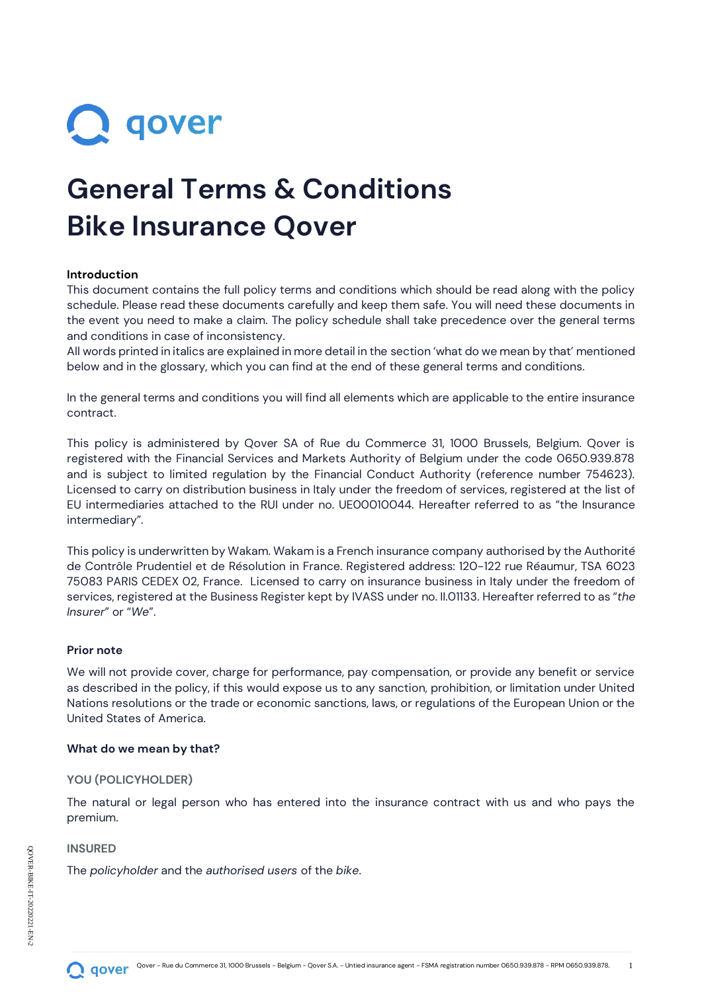

# **General Terms & Conditions Bike Insurance Qover**

#### **Introduction**

This document contains the full policy terms and conditions which should be read along with the policy schedule. Please read these documents carefully and keep them safe. You will need these documents in the event you need to make a claim. The policy schedule shall take precedence over the general terms and conditions in case of inconsistency.

All words printed in italics are explained in more detail in the section 'what do we mean by that' mentioned below and in the glossary, which you can find at the end of these general terms and conditions.

In the general terms and conditions you will find all elements which are applicable to the entire insurance contract.

This policy is administered by Qover SA of Rue du Commerce 31, 1000 Brussels, Belgium. Qover is registered with the Financial Services and Markets Authority of Belgium under the code 0650.939.878 and is subject to limited regulation by the Financial Conduct Authority (reference number 754623). Licensed to carry on distribution business in Italy under the freedom of services, registered at the list of EU intermediaries attached to the RUI under no. UE00010044. Hereafter referred to as "the Insurance intermediary".

This policy is underwritten by Wakam. Wakam is a French insurance company authorised by the Authorité de Contrôle Prudentiel et de Résolution in France. Registered address: 120-122 rue Réaumur, TSA 6023 75083 PARIS CEDEX 02, France. Licensed to carry on insurance business in Italy under the freedom of services, registered at the Business Register kept by IVASS under no. II.01133. Hereafter referred to as "*the Insurer*" or "*We*".

### **Prior note**

We will not provide cover, charge for performance, pay compensation, or provide any benefit or service as described in the policy, if this would expose us to any sanction, prohibition, or limitation under United Nations resolutions or the trade or economic sanctions, laws, or regulations of the European Union or the United States of America.

### **What do we mean by that?**

### **YOU (POLICYHOLDER)**

The natural or legal person who has entered into the insurance contract with us and who pays the premium.

#### **INSURED**

The *policyholder* and the *authorised users* of the *bike*.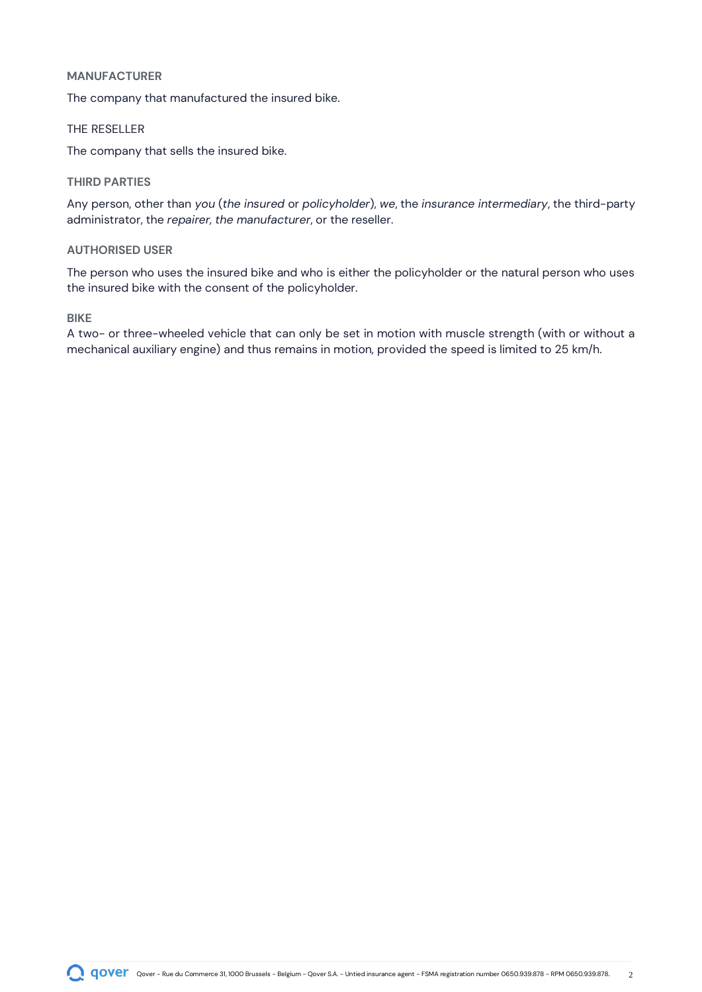#### **MANUFACTURER**

The company that manufactured the insured bike.

#### THE RESELLER

The company that sells the insured bike.

#### **THIRD PARTIES**

Any person, other than *you* (*the insured* or *policyholder*), *we*, the *insurance intermediary*, the third-party administrator, the *repairer, the manufacturer*, or the reseller.

#### **AUTHORISED USER**

The person who uses the insured bike and who is either the policyholder or the natural person who uses the insured bike with the consent of the policyholder.

#### **BIKE**

A two- or three-wheeled vehicle that can only be set in motion with muscle strength (with or without a mechanical auxiliary engine) and thus remains in motion, provided the speed is limited to 25 km/h.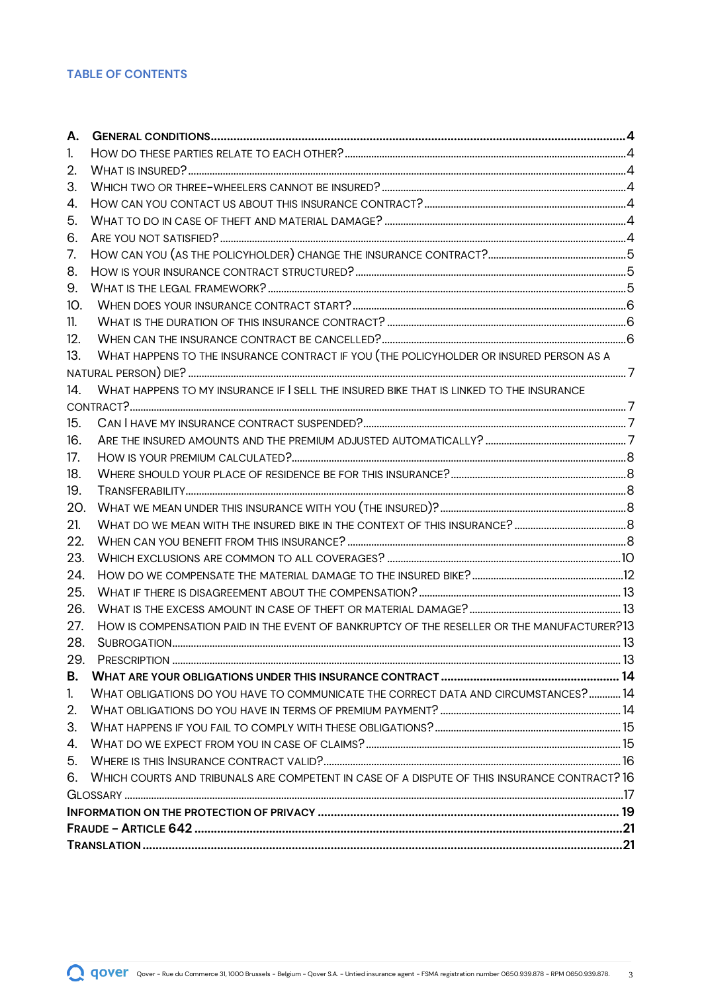| А.        |                                                                                              |  |  |  |
|-----------|----------------------------------------------------------------------------------------------|--|--|--|
| 1.        |                                                                                              |  |  |  |
| 2.        |                                                                                              |  |  |  |
| 3.        |                                                                                              |  |  |  |
| 4.        |                                                                                              |  |  |  |
| 5.        |                                                                                              |  |  |  |
| 6.        |                                                                                              |  |  |  |
| 7.        |                                                                                              |  |  |  |
| 8.        |                                                                                              |  |  |  |
| 9.        |                                                                                              |  |  |  |
| 10.       |                                                                                              |  |  |  |
| 11.       |                                                                                              |  |  |  |
| 12.       |                                                                                              |  |  |  |
| 13.       | WHAT HAPPENS TO THE INSURANCE CONTRACT IF YOU (THE POLICYHOLDER OR INSURED PERSON AS A       |  |  |  |
|           |                                                                                              |  |  |  |
| 14.       | WHAT HAPPENS TO MY INSURANCE IF I SELL THE INSURED BIKE THAT IS LINKED TO THE INSURANCE      |  |  |  |
|           |                                                                                              |  |  |  |
| 15.       |                                                                                              |  |  |  |
| 16.       |                                                                                              |  |  |  |
| 17.       |                                                                                              |  |  |  |
| 18.       |                                                                                              |  |  |  |
| 19.       |                                                                                              |  |  |  |
| 20.       |                                                                                              |  |  |  |
| 21.       |                                                                                              |  |  |  |
| 22.       |                                                                                              |  |  |  |
| 23.       |                                                                                              |  |  |  |
| 24.       |                                                                                              |  |  |  |
| 25.       |                                                                                              |  |  |  |
| 26.       |                                                                                              |  |  |  |
| 27.       | HOW IS COMPENSATION PAID IN THE EVENT OF BANKRUPTCY OF THE RESELLER OR THE MANUFACTURER? 13  |  |  |  |
| 28.       |                                                                                              |  |  |  |
| 29.       |                                                                                              |  |  |  |
| <b>B.</b> |                                                                                              |  |  |  |
| 1.        | WHAT OBLIGATIONS DO YOU HAVE TO COMMUNICATE THE CORRECT DATA AND CIRCUMSTANCES? 14           |  |  |  |
| 2.        |                                                                                              |  |  |  |
| 3.        |                                                                                              |  |  |  |
| 4.        |                                                                                              |  |  |  |
| 5.        |                                                                                              |  |  |  |
| 6.        | WHICH COURTS AND TRIBUNALS ARE COMPETENT IN CASE OF A DISPUTE OF THIS INSURANCE CONTRACT? 16 |  |  |  |
|           |                                                                                              |  |  |  |
|           |                                                                                              |  |  |  |
|           |                                                                                              |  |  |  |
|           |                                                                                              |  |  |  |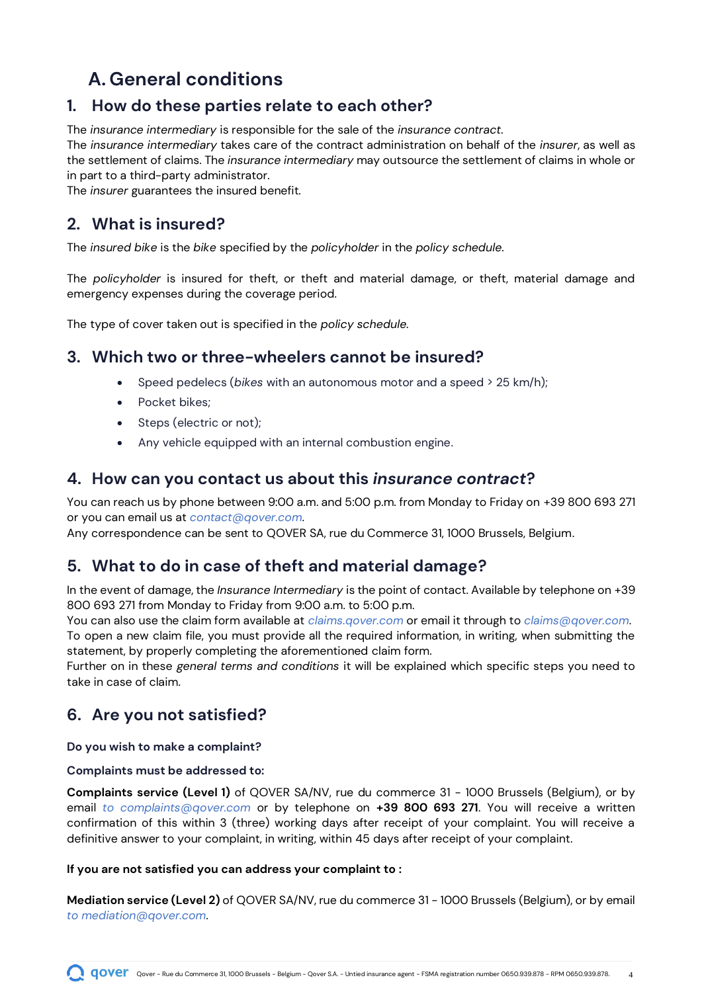# <span id="page-3-0"></span>**A. General conditions**

# <span id="page-3-1"></span>**1. How do these parties relate to each other?**

The *insurance intermediary* is responsible for the sale of the *insurance contract*.

The *insurance intermediary* takes care of the contract administration on behalf of the *insurer*, as well as the settlement of claims. The *insurance intermediary* may outsource the settlement of claims in whole or in part to a third-party administrator.

The *insurer* guarantees the insured benefit.

# <span id="page-3-2"></span>**2. What is insured?**

The *insured bike* is the *bike* specified by the *policyholder* in the *policy schedule*.

The *policyholder* is insured for theft, or theft and material damage, or theft, material damage and emergency expenses during the coverage period.

The type of cover taken out is specified in the *policy schedule.*

# <span id="page-3-3"></span>**3. Which two or three-wheelers cannot be insured?**

- Speed pedelecs (*bikes* with an autonomous motor and a speed > 25 km/h);
- Pocket bikes;
- Steps (electric or not);
- Any vehicle equipped with an internal combustion engine.

# <span id="page-3-4"></span>**4. How can you contact us about this** *insurance contract***?**

You can reach us by phone between 9:00 a.m. and 5:00 p.m. from Monday to Friday on +39 800 693 271 or you can email us at *[contact@qover.com](mailto:contact@qoverme.com)*.

Any correspondence can be sent to QOVER SA, rue du Commerce 31, 1000 Brussels, Belgium.

# <span id="page-3-5"></span>**5. What to do in case of theft and material damage?**

In the event of damage, the *Insurance Intermediary* is the point of contact. Available by telephone on +39 800 693 271 from Monday to Friday from 9:00 a.m. to 5:00 p.m.

You can also use the claim form available at *[claims.qover.com](https://www.qover.com/claims)* or email it through to *[claims@qover.com](mailto:claims@qoverme.com)*.

To open a new claim file, you must provide all the required information, in writing, when submitting the statement, by properly completing the aforementioned claim form.

Further on in these *general terms and conditions* it will be explained which specific steps you need to take in case of claim.

# <span id="page-3-6"></span>**6. Are you not satisfied?**

**Do you wish to make a complaint?**

**Complaints must be addressed to:**

**Complaints service (Level 1)** of QOVER SA/NV, rue du commerce 31 - 1000 Brussels (Belgium), or by email *[to](mailto:mediation@qover.com) complaints@qover.com* or by telephone on **+39 800 693 271**. You will receive a written confirmation of this within 3 (three) working days after receipt of your complaint. You will receive a definitive answer to your complaint, in writing, within 45 days after receipt of your complaint.

### **If you are not satisfied you can address your complaint to :**

**Mediation service (Level 2)** of QOVER SA/NV, rue du commerce 31 - 1000 Brussels (Belgium), or by email *[to](mailto:mediation@qover.com) mediation@qover.com*.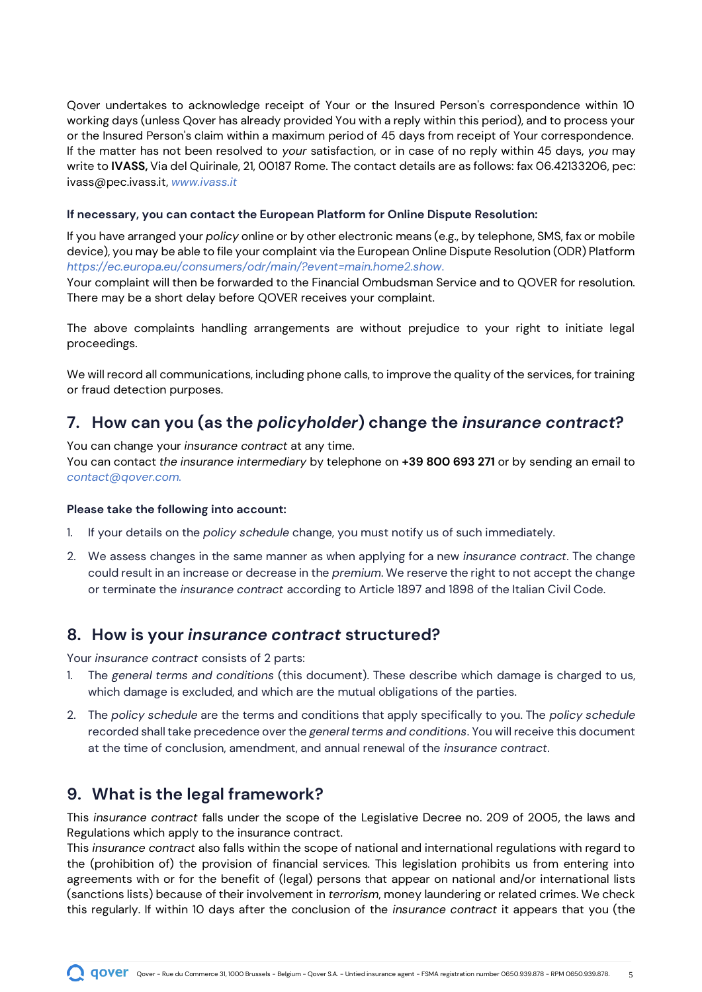Qover undertakes to acknowledge receipt of Your or the Insured Person's correspondence within 10 working days (unless Qover has already provided You with a reply within this period), and to process your or the Insured Person's claim within a maximum period of 45 days from receipt of Your correspondence. If the matter has not been resolved to *your* satisfaction, or in case of no reply within 45 days, *you* may write to **IVASS,** Via del Quirinale, 21, 00187 Rome. The contact details are as follows: fax 06.42133206, pec: ivass@pec.ivass.it, *[www.ivass.it](http://www.ivass.it/)*

#### **If necessary, you can contact the European Platform for Online Dispute Resolution:**

If you have arranged your *policy* online or by other electronic means (e.g., by telephone, SMS, fax or mobile device), you may be able to file your complaint via the European Online Dispute Resolution (ODR) Platform *[https://ec.europa.eu/consumers/odr/main/?event=main.home2.show.](https://ec.europa.eu/consumers/odr/main/?event=main.home2.show)*

Your complaint will then be forwarded to the Financial Ombudsman Service and to QOVER for resolution. There may be a short delay before QOVER receives your complaint.

The above complaints handling arrangements are without prejudice to your right to initiate legal proceedings.

We will record all communications, including phone calls, to improve the quality of the services, for training or fraud detection purposes.

# <span id="page-4-0"></span>**7. How can you (as the** *policyholder***) change the** *insurance contract***?**

You can change your *insurance contract* at any time. You can contact *the insurance intermediary* by telephone on **+39 800 693 271** or by [sending an email to](mailto:contact@qoverme.com)

*[contact@qover.com.](mailto:contact@qoverme.com)*

#### **Please take the following into account:**

- 1. If your details on the *policy schedule* change, you must notify us of such immediately.
- 2. We assess changes in the same manner as when applying for a new *insurance contract*. The change could result in an increase or decrease in the *premium*. We reserve the right to not accept the change or terminate the *insurance contract* according to Article 1897 and 1898 of the Italian Civil Code.

### <span id="page-4-1"></span>**8. How is your** *insurance contract* **structured?**

Your *insurance contract* consists of 2 parts:

- 1. The *general terms and conditions* (this document). These describe which damage is charged to us, which damage is excluded, and which are the mutual obligations of the parties.
- 2. The *policy schedule* are the terms and conditions that apply specifically to you. The *policy schedule* recorded shall take precedence over the *general terms and conditions*. You will receive this document at the time of conclusion, amendment, and annual renewal of the *insurance contract*.

# <span id="page-4-2"></span>**9. What is the legal framework?**

This *insurance contract* falls under the scope of the Legislative Decree no. 209 of 2005, the laws and Regulations which apply to the insurance contract.

This *insurance contract* also falls within the scope of national and international regulations with regard to the (prohibition of) the provision of financial services. This legislation prohibits us from entering into agreements with or for the benefit of (legal) persons that appear on national and/or international lists (sanctions lists) because of their involvement in *terrorism*, money laundering or related crimes. We check this regularly. If within 10 days after the conclusion of the *insurance contract* it appears that you (the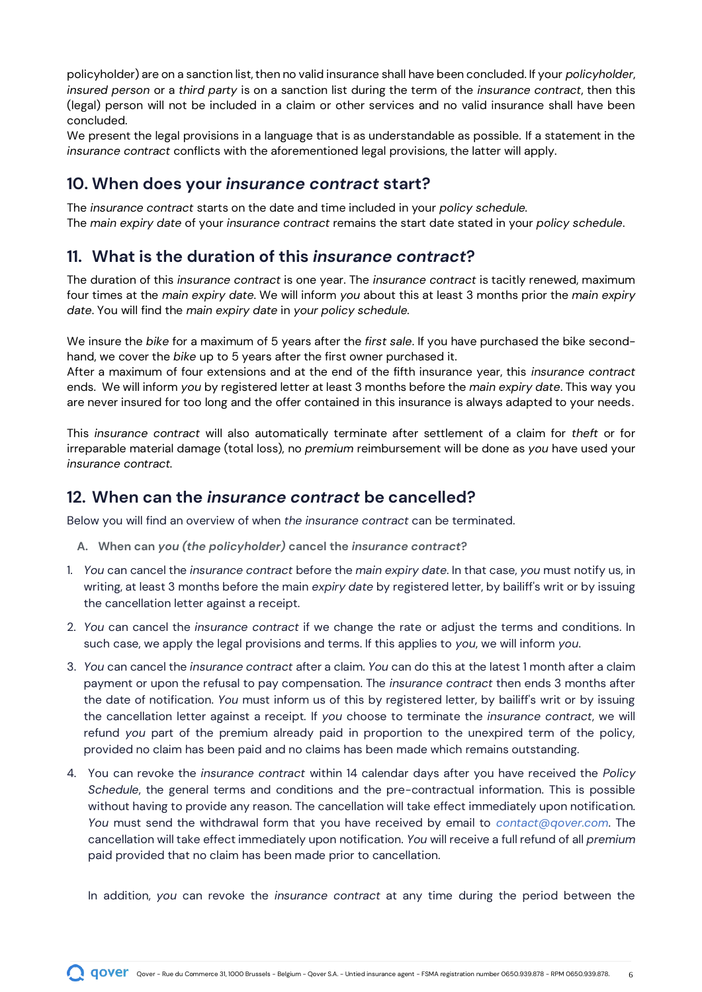policyholder) are on a sanction list, then no valid insurance shall have been concluded. If your *policyholder*, *insured person* or a *third party* is on a sanction list during the term of the *insurance contract*, then this (legal) person will not be included in a claim or other services and no valid insurance shall have been concluded.

We present the legal provisions in a language that is as understandable as possible. If a statement in the *insurance contract* conflicts with the aforementioned legal provisions, the latter will apply.

# <span id="page-5-0"></span>**10. When does your** *insurance contract* **start?**

The *insurance contract* starts on the date and time included in your *policy schedule.* The *main expiry date* of your *insurance contract* remains the start date stated in your *policy schedule*.

# <span id="page-5-1"></span>**11. What is the duration of this** *insurance contract***?**

The duration of this *insurance contract* is one year. The *insurance contract* is tacitly renewed, maximum four times at the *main expiry date*. We will inform *you* about this at least 3 months prior the *main expiry date*. You will find the *main expiry date* in *your policy schedule.*

We insure the *bike* for a maximum of 5 years after the *first sale*. If you have purchased the bike secondhand, we cover the *bike* up to 5 years after the first owner purchased it.

After a maximum of four extensions and at the end of the fifth insurance year, this *insurance contract* ends. We will inform *you* by registered letter at least 3 months before the *main expiry date*. This way you are never insured for too long and the offer contained in this insurance is always adapted to your needs.

This *insurance contract* will also automatically terminate after settlement of a claim for *theft* or for irreparable material damage (total loss), no *premium* reimbursement will be done as *you* have used your *insurance contract.*

### <span id="page-5-2"></span>**12. When can the** *insurance contract* **be cancelled?**

Below you will find an overview of when *the insurance contract* can be terminated.

- **A. When can** *you (the policyholder)* **cancel the** *insurance contract***?**
- 1. *You* can cancel the *insurance contract* before the *main expiry date*. In that case, *you* must notify us, in writing, at least 3 months before the main *expiry date* by registered letter, by bailiff's writ or by issuing the cancellation letter against a receipt.
- 2. *You* can cancel the *insurance contract* if we change the rate or adjust the terms and conditions. In such case, we apply the legal provisions and terms. If this applies to *you*, we will inform *you*.
- 3. *You* can cancel the *insurance contract* after a claim. *You* can do this at the latest 1 month after a claim payment or upon the refusal to pay compensation. The *insurance contract* then ends 3 months after the date of notification. *You* must inform us of this by registered letter, by bailiff's writ or by issuing the cancellation letter against a receipt. If *you* choose to terminate the *insurance contract*, we will refund *you* part of the premium already paid in proportion to the unexpired term of the policy, provided no claim has been paid and no claims has been made which remains outstanding.
- 4. You can revoke the *insurance contract* within 14 calendar days after you have received the *Policy Schedule*, the general terms and conditions and the pre-contractual information. This is possible without having to provide any reason. The cancellation will take effect immediately upon notification. *You* must send the withdrawal form that you have received by email to *[contact@qover.com](mailto:contact@qoverme.com)*. The cancellation will take effect immediately upon notification. *You* will receive a full refund of all *premium* paid provided that no claim has been made prior to cancellation.

In addition, *you* can revoke the *insurance contract* at any time during the period between the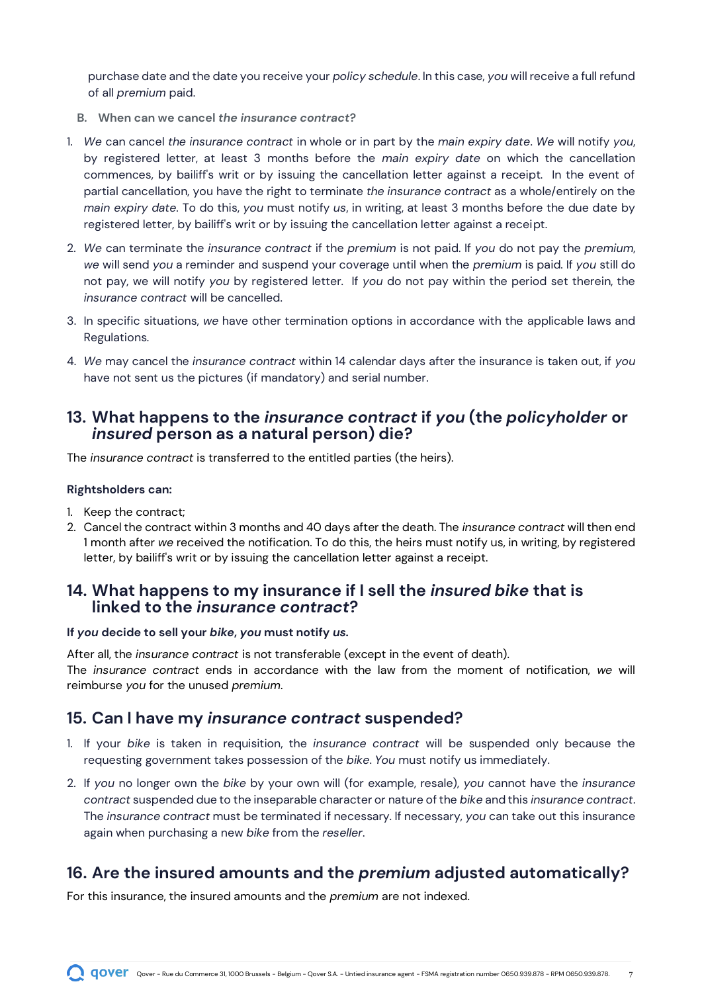purchase date and the date you receive your *policy schedule*. In this case, *you* will receive a full refund of all *premium* paid.

- **B. When can we cancel** *the insurance contract***?**
- 1. *We* can cancel *the insurance contract* in whole or in part by the *main expiry date*. *We* will notify *you*, by registered letter, at least 3 months before the *main expiry date* on which the cancellation commences, by bailiff's writ or by issuing the cancellation letter against a receipt. In the event of partial cancellation, you have the right to terminate *the insurance contract* as a whole/entirely on the *main expiry date*. To do this, *you* must notify *us*, in writing, at least 3 months before the due date by registered letter, by bailiff's writ or by issuing the cancellation letter against a receipt.
- 2. *We* can terminate the *insurance contract* if the *premium* is not paid. If *you* do not pay the *premium*, *we* will send *you* a reminder and suspend your coverage until when the *premium* is paid. If *you* still do not pay, we will notify *you* by registered letter. If *you* do not pay within the period set therein, the *insurance contract* will be cancelled.
- 3. In specific situations, *we* have other termination options in accordance with the applicable laws and Regulations.
- 4. *We* may cancel the *insurance contract* within 14 calendar days after the insurance is taken out, if *you* have not sent us the pictures (if mandatory) and serial number.

## <span id="page-6-0"></span>**13. What happens to the** *insurance contract* **if** *you* **(the** *policyholder* **or**  *insured* **person as a natural person) die?**

The *insurance contract* is transferred to the entitled parties (the heirs).

### **Rightsholders can:**

- 1. Keep the contract;
- 2. Cancel the contract within 3 months and 40 days after the death. The *insurance contract* will then end 1 month after *we* received the notification. To do this, the heirs must notify us, in writing, by registered letter, by bailiff's writ or by issuing the cancellation letter against a receipt.

# <span id="page-6-1"></span>**14. What happens to my insurance if I sell the** *insured bike* **that is linked to the** *insurance contract***?**

### **If** *you* **decide to sell your** *bike***,** *you* **must notify** *us.*

After all, the *insurance contract* is not transferable (except in the event of death). The *insurance contract* ends in accordance with the law from the moment of notification, *we* will reimburse *you* for the unused *premium*.

# <span id="page-6-2"></span>**15. Can I have my** *insurance contract* **suspended?**

- 1. If your *bike* is taken in requisition, the *insurance contract* will be suspended only because the requesting government takes possession of the *bike*. *You* must notify us immediately.
- 2. If *you* no longer own the *bike* by your own will (for example, resale), *you* cannot have the *insurance contract* suspended due to the inseparable character or nature of the *bike* and this *insurance contract*. The *insurance contract* must be terminated if necessary. If necessary, *you* can take out this insurance again when purchasing a new *bike* from the *reseller*.

# <span id="page-6-3"></span>**16. Are the insured amounts and the** *premium* **adjusted automatically?**

For this insurance, the insured amounts and the *premium* are not indexed.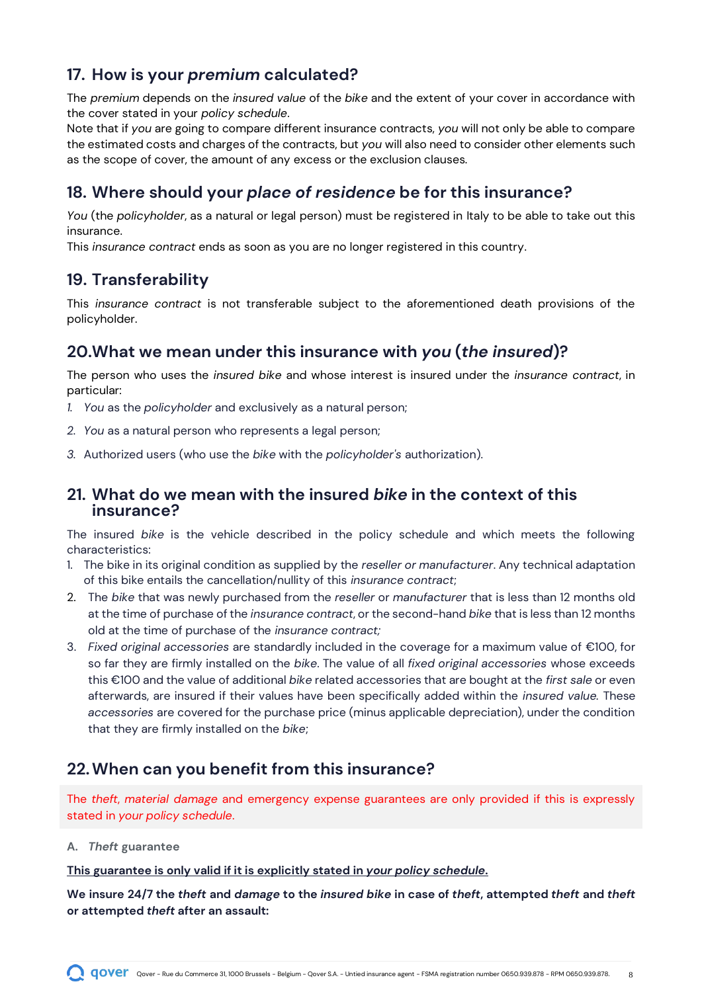# <span id="page-7-0"></span>**17. How is your** *premium* **calculated?**

The *premium* depends on the *insured value* of the *bike* and the extent of your cover in accordance with the cover stated in your *policy schedule*.

Note that if *you* are going to compare different insurance contracts, *you* will not only be able to compare the estimated costs and charges of the contracts, but *you* will also need to consider other elements such as the scope of cover, the amount of any excess or the exclusion clauses.

# <span id="page-7-1"></span>**18. Where should your** *place of residence* **be for this insurance?**

*You* (the *policyholder*, as a natural or legal person) must be registered in Italy to be able to take out this insurance.

This *insurance contract* ends as soon as you are no longer registered in this country.

# <span id="page-7-2"></span>**19. Transferability**

This *insurance contract* is not transferable subject to the aforementioned death provisions of the policyholder.

# <span id="page-7-3"></span>**20.What we mean under this insurance with** *you* **(***the insured***)?**

The person who uses the *insured bike* and whose interest is insured under the *insurance contract*, in particular:

- *1. You* as the *policyholder* and exclusively as a natural person;
- *2. You* as a natural person who represents a legal person;
- *3.* Authorized users (who use the *bike* with the *policyholder's* authorization).

## <span id="page-7-4"></span>**21. What do we mean with the insured** *bike* **in the context of this insurance?**

The insured *bike* is the vehicle described in the policy schedule and which meets the following characteristics:

- 1. The bike in its original condition as supplied by the *reseller or manufacturer*. Any technical adaptation of this bike entails the cancellation/nullity of this *insurance contract*;
- 2. The *bike* that was newly purchased from the *reseller* or *manufacturer* that is less than 12 months old at the time of purchase of the *insurance contract*, or the second-hand *bike* that is less than 12 months old at the time of purchase of the *insurance contract;*
- 3. *Fixed original accessories* are standardly included in the coverage for a maximum value of €100, for so far they are firmly installed on the *bike*. The value of all *fixed original accessories* whose exceeds this €100 and the value of additional *bike* related accessories that are bought at the *first sale* or even afterwards, are insured if their values have been specifically added within the *insured value.* These *accessories* are covered for the purchase price (minus applicable depreciation), under the condition that they are firmly installed on the *bike*;

# <span id="page-7-5"></span>**22.When can you benefit from this insurance?**

The *theft*, *material damage* and emergency expense guarantees are only provided if this is expressly stated in *your policy schedule*.

**A.** *Theft* **guarantee**

**This guarantee is only valid if it is explicitly stated in** *your policy schedule***.**

**We insure 24/7 the** *theft* **and** *damage* **to the** *insured bike* **in case of** *theft***, attempted** *theft* **and** *theft* **or attempted** *theft* **after an assault:**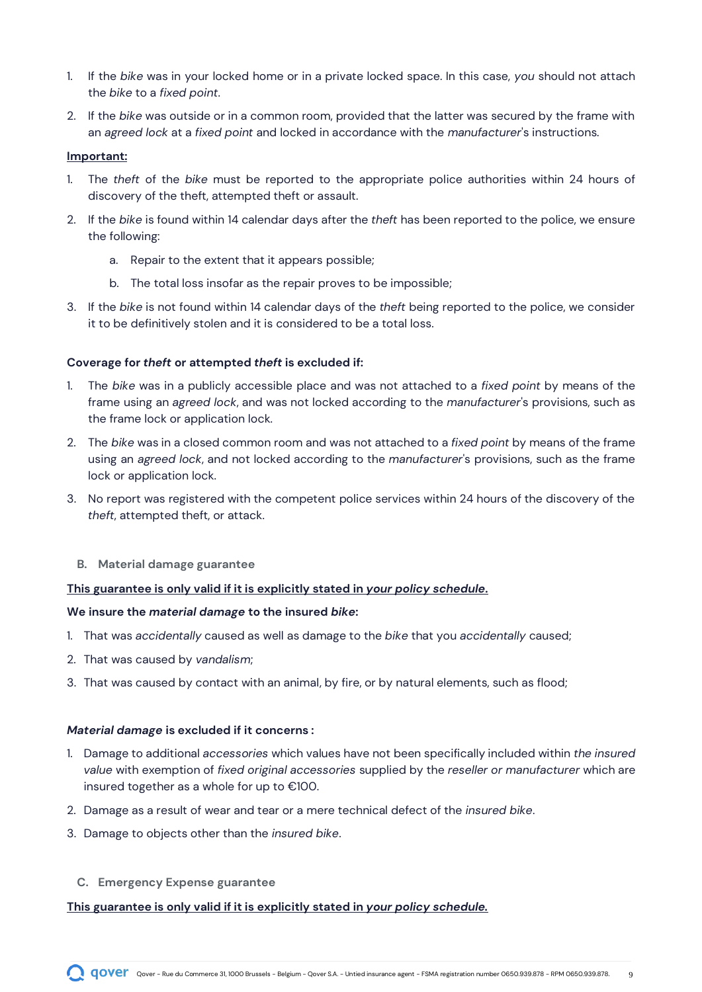- 1. If the *bike* was in your locked home or in a private locked space. In this case, *you* should not attach the *bike* to a *fixed point*.
- 2. If the *bike* was outside or in a common room, provided that the latter was secured by the frame with an *agreed lock* at a *fixed point* and locked in accordance with the *manufacturer*'s instructions.

#### **Important:**

- 1. The *theft* of the *bike* must be reported to the appropriate police authorities within 24 hours of discovery of the theft, attempted theft or assault.
- 2. If the *bike* is found within 14 calendar days after the *theft* has been reported to the police, we ensure the following:
	- a. Repair to the extent that it appears possible;
	- b. The total loss insofar as the repair proves to be impossible;
- 3. If the *bike* is not found within 14 calendar days of the *theft* being reported to the police, we consider it to be definitively stolen and it is considered to be a total loss.

### **Coverage for** *theft* **or attempted** *theft* **is excluded if:**

- 1. The *bike* was in a publicly accessible place and was not attached to a *fixed point* by means of the frame using an *agreed lock*, and was not locked according to the *manufacturer*'s provisions, such as the frame lock or application lock.
- 2. The *bike* was in a closed common room and was not attached to a *fixed point* by means of the frame using an *agreed lock*, and not locked according to the *manufacturer*'s provisions, such as the frame lock or application lock.
- 3. No report was registered with the competent police services within 24 hours of the discovery of the *theft*, attempted theft, or attack.
	- **B. Material damage guarantee**

### **This guarantee is only valid if it is explicitly stated in** *your policy schedule***.**

### **We insure the** *material damage* **to the insured** *bike***:**

- 1. That was *accidentally* caused as well as damage to the *bike* that you *accidentally* caused;
- 2. That was caused by *vandalism*;
- 3. That was caused by contact with an animal, by fire, or by natural elements, such as flood;

### *Material damage* **is excluded if it concerns :**

- 1. Damage to additional *accessories* which values have not been specifically included within *the insured value* with exemption of *fixed original accessories* supplied by the *reseller or manufacturer* which are insured together as a whole for up to €100.
- 2. Damage as a result of wear and tear or a mere technical defect of the *insured bike*.
- 3. Damage to objects other than the *insured bike*.
	- **C. Emergency Expense guarantee**

### **This guarantee is only valid if it is explicitly stated in** *your policy schedule.*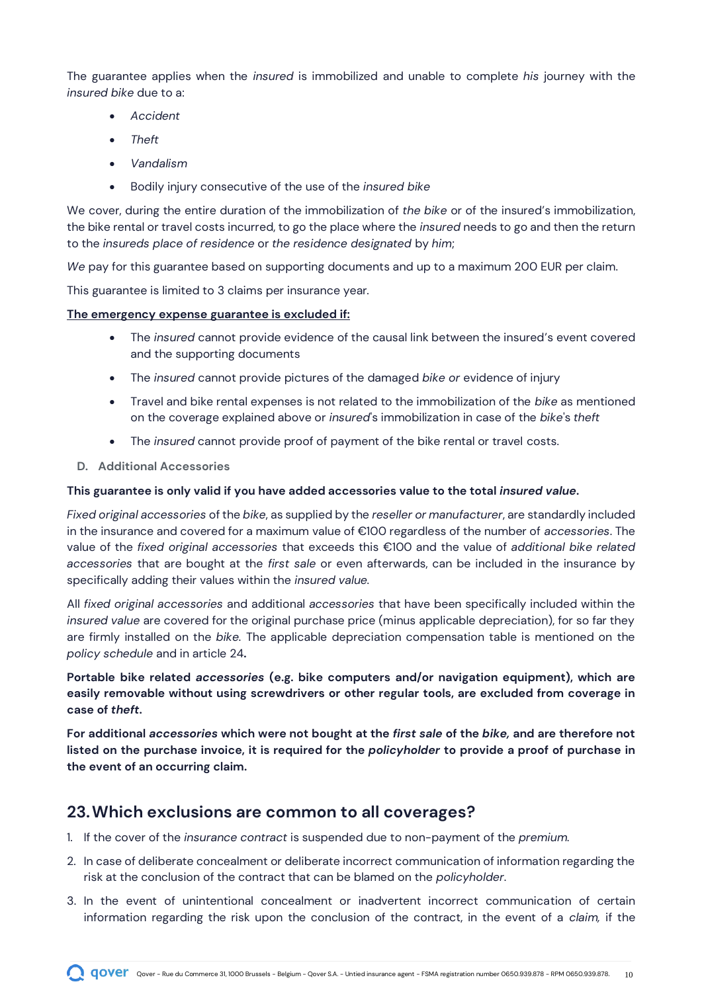The guarantee applies when the *insured* is immobilized and unable to complete *his* journey with the *insured bike* due to a:

- *Accident*
- *Theft*
- *Vandalism*
- Bodily injury consecutive of the use of the *insured bike*

We cover, during the entire duration of the immobilization of *the bike* or of the insured's immobilization, the bike rental or travel costs incurred, to go the place where the *insured* needs to go and then the return to the *insureds place of residence* or *the residence designated* by *him*;

*We* pay for this guarantee based on supporting documents and up to a maximum 200 EUR per claim.

This guarantee is limited to 3 claims per insurance year.

### **The emergency expense guarantee is excluded if:**

- The *insured* cannot provide evidence of the causal link between the insured's event covered and the supporting documents
- The *insured* cannot provide pictures of the damaged *bike or* evidence of injury
- Travel and bike rental expenses is not related to the immobilization of the *bike* as mentioned on the coverage explained above or *insured*'s immobilization in case of the *bike*'s *theft*
- The *insured* cannot provide proof of payment of the bike rental or travel costs.
- **D. Additional Accessories**

### **This guarantee is only valid if you have added accessories value to the total** *insured value***.**

*Fixed original accessories* of the *bike*, as supplied by the *reseller or manufacturer*, are standardly included in the insurance and covered for a maximum value of €100 regardless of the number of *accessories*. The value of the *fixed original accessories* that exceeds this €100 and the value of *additional bike related accessories* that are bought at the *first sale* or even afterwards, can be included in the insurance by specifically adding their values within the *insured value*.

All *fixed original accessories* and additional *accessories* that have been specifically included within the *insured value* are covered for the original purchase price (minus applicable depreciation), for so far they are firmly installed on the *bike.* The applicable depreciation compensation table is mentioned on the *policy schedule* and in article 24**.** 

**Portable bike related** *accessories* **(e.g. bike computers and/or navigation equipment), which are easily removable without using screwdrivers or other regular tools, are excluded from coverage in case of** *theft***.** 

**For additional** *accessories* **which were not bought at the** *first sale* **of the** *bike,* **and are therefore not listed on the purchase invoice, it is required for the** *policyholder* **to provide a proof of purchase in the event of an occurring claim.** 

# <span id="page-9-0"></span>**23.Which exclusions are common to all coverages?**

- 1. If the cover of the *insurance contract* is suspended due to non-payment of the *premium.*
- 2. In case of deliberate concealment or deliberate incorrect communication of information regarding the risk at the conclusion of the contract that can be blamed on the *policyholder*.
- 3. In the event of unintentional concealment or inadvertent incorrect communication of certain information regarding the risk upon the conclusion of the contract, in the event of a *claim,* if the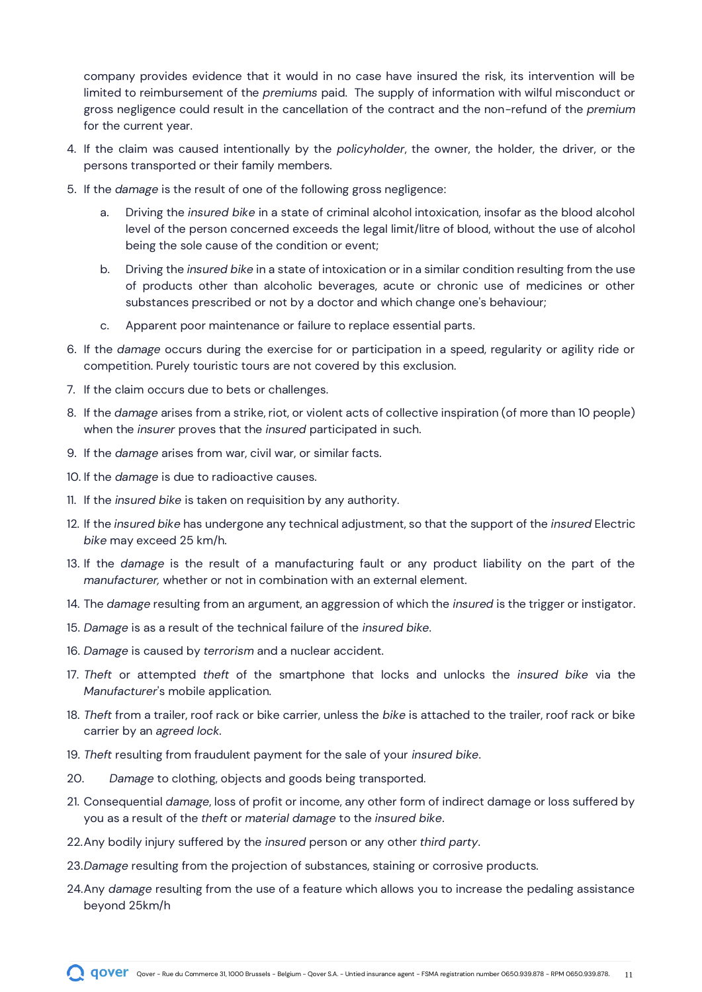company provides evidence that it would in no case have insured the risk, its intervention will be limited to reimbursement of the *premiums* paid. The supply of information with wilful misconduct or gross negligence could result in the cancellation of the contract and the non-refund of the *premium* for the current year.

- 4. If the claim was caused intentionally by the *policyholder*, the owner, the holder, the driver, or the persons transported or their family members.
- 5. If the *damage* is the result of one of the following gross negligence:
	- a. Driving the *insured bike* in a state of criminal alcohol intoxication, insofar as the blood alcohol level of the person concerned exceeds the legal limit/litre of blood, without the use of alcohol being the sole cause of the condition or event;
	- b. Driving the *insured bike* in a state of intoxication or in a similar condition resulting from the use of products other than alcoholic beverages, acute or chronic use of medicines or other substances prescribed or not by a doctor and which change one's behaviour;
	- c. Apparent poor maintenance or failure to replace essential parts.
- 6. If the *damage* occurs during the exercise for or participation in a speed, regularity or agility ride or competition. Purely touristic tours are not covered by this exclusion.
- 7. If the claim occurs due to bets or challenges.
- 8. If the *damage* arises from a strike, riot, or violent acts of collective inspiration (of more than 10 people) when the *insurer* proves that the *insured* participated in such.
- 9. If the *damage* arises from war, civil war, or similar facts.
- 10. If the *damage* is due to radioactive causes.
- 11. If the *insured bike* is taken on requisition by any authority.
- 12. If the *insured bike* has undergone any technical adjustment, so that the support of the *insured* Electric *bike* may exceed 25 km/h.
- 13. If the *damage* is the result of a manufacturing fault or any product liability on the part of the *manufacturer,* whether or not in combination with an external element.
- 14. The *damage* resulting from an argument, an aggression of which the *insured* is the trigger or instigator.
- 15. *Damage* is as a result of the technical failure of the *insured bike*.
- 16. *Damage* is caused by *terrorism* and a nuclear accident.
- 17. *Theft* or attempted *theft* of the smartphone that locks and unlocks the *insured bike* via the *Manufacturer*'s mobile application.
- 18. *Theft* from a trailer, roof rack or bike carrier, unless the *bike* is attached to the trailer, roof rack or bike carrier by an *agreed lock.*
- 19. *Theft* resulting from fraudulent payment for the sale of your *insured bike*.
- 20. *Damage* to clothing, objects and goods being transported.
- 21. Consequential *damage*, loss of profit or income, any other form of indirect damage or loss suffered by you as a result of the *theft* or *material damage* to the *insured bike*.
- 22.Any bodily injury suffered by the *insured* person or any other *third party*.
- 23.*Damage* resulting from the projection of substances, staining or corrosive products.
- 24.Any *damage* resulting from the use of a feature which allows you to increase the pedaling assistance beyond 25km/h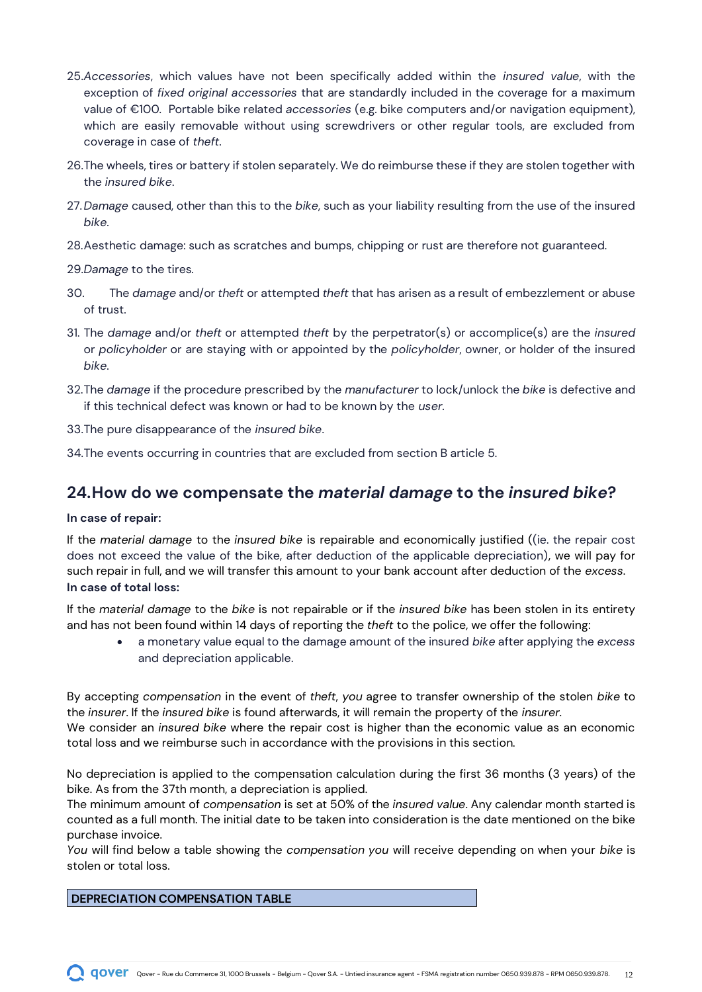- 25.*Accessories*, which values have not been specifically added within the *insured value*, with the exception of *fixed original accessories* that are standardly included in the coverage for a maximum value of €100. Portable bike related *accessories* (e.g. bike computers and/or navigation equipment), which are easily removable without using screwdrivers or other regular tools, are excluded from coverage in case of *theft*.
- 26.The wheels, tires or battery if stolen separately. We do reimburse these if they are stolen together with the *insured bike*.
- 27.*Damage* caused, other than this to the *bike*, such as your liability resulting from the use of the insured *bike*.
- 28.Aesthetic damage: such as scratches and bumps, chipping or rust are therefore not guaranteed.
- 29.*Damage* to the tires.
- 30. The *damage* and/or *theft* or attempted *theft* that has arisen as a result of embezzlement or abuse of trust.
- 31. The *damage* and/or *theft* or attempted *theft* by the perpetrator(s) or accomplice(s) are the *insured*  or *policyholder* or are staying with or appointed by the *policyholder*, owner, or holder of the insured *bike*.
- 32.The *damage* if the procedure prescribed by the *manufacturer* to lock/unlock the *bike* is defective and if this technical defect was known or had to be known by the *user*.
- 33.The pure disappearance of the *insured bike*.
- 34.The events occurring in countries that are excluded from section B article 5.

# <span id="page-11-0"></span>**24.How do we compensate the** *material damage* **to the** *insured bike***?**

### **In case of repair:**

If the *material damage* to the *insured bike* is repairable and economically justified ((ie. the repair cost does not exceed the value of the bike, after deduction of the applicable depreciation), we will pay for such repair in full, and we will transfer this amount to your bank account after deduction of the *excess*. **In case of total loss:**

If the *material damage* to the *bike* is not repairable or if the *insured bike* has been stolen in its entirety and has not been found within 14 days of reporting the *theft* to the police, we offer the following:

• a monetary value equal to the damage amount of the insured *bike* after applying the *excess* and depreciation applicable.

By accepting *compensation* in the event of *theft*, *you* agree to transfer ownership of the stolen *bike* to the *insurer*. If the *insured bike* is found afterwards, it will remain the property of the *insurer*. We consider an *insured bike* where the repair cost is higher than the economic value as an economic total loss and we reimburse such in accordance with the provisions in this section.

No depreciation is applied to the compensation calculation during the first 36 months (3 years) of the bike. As from the 37th month, a depreciation is applied.

The minimum amount of *compensation* is set at 50% of the *insured value*. Any calendar month started is counted as a full month. The initial date to be taken into consideration is the date mentioned on the bike purchase invoice.

*You* will find below a table showing the *compensation you* will receive depending on when your *bike* is stolen or total loss.

**DEPRECIATION COMPENSATION TABLE**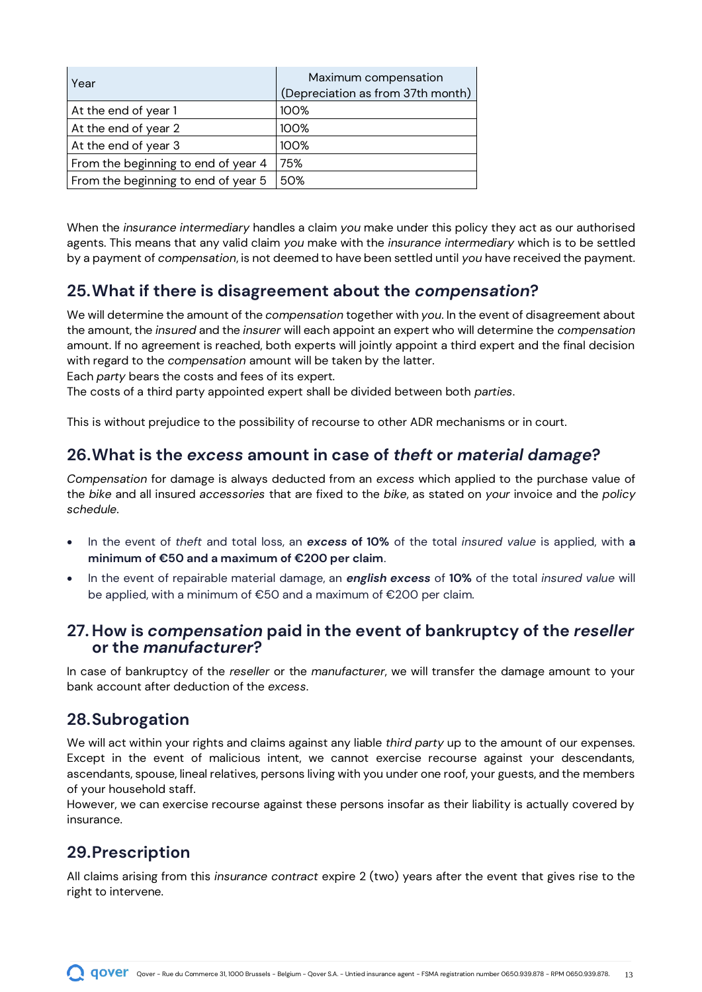| Year                                | Maximum compensation<br>(Depreciation as from 37th month) |
|-------------------------------------|-----------------------------------------------------------|
| At the end of year 1                | 100%                                                      |
| At the end of year 2                | 100%                                                      |
| At the end of year 3                | 100%                                                      |
| From the beginning to end of year 4 | 75%                                                       |
| From the beginning to end of year 5 | 50%                                                       |

When the *insurance intermediary* handles a claim *you* make under this policy they act as our authorised agents. This means that any valid claim *you* make with the *insurance intermediary* which is to be settled by a payment of *compensation*, is not deemed to have been settled until *you* have received the payment.

# <span id="page-12-0"></span>**25.What if there is disagreement about the** *compensation***?**

We will determine the amount of the *compensation* together with *you*. In the event of disagreement about the amount, the *insured* and the *insurer* will each appoint an expert who will determine the *compensation* amount. If no agreement is reached, both experts will jointly appoint a third expert and the final decision with regard to the *compensation* amount will be taken by the latter.

Each *party* bears the costs and fees of its expert.

The costs of a third party appointed expert shall be divided between both *parties*.

This is without prejudice to the possibility of recourse to other ADR mechanisms or in court.

# <span id="page-12-1"></span>**26.What is the** *excess* **amount in case of** *theft* **or** *material damage***?**

*Compensation* for damage is always deducted from an *excess* which applied to the purchase value of the *bike* and all insured *accessories* that are fixed to the *bike*, as stated on *your* invoice and the *policy schedule*.

- In the event of *theft* and total loss, an *excess* **of 10%** of the total *insured value* is applied, with **a minimum of €50 and a maximum of €200 per claim**.
- In the event of repairable material damage, an *english excess* of **10%** of the total *insured value* will be applied, with a minimum of €50 and a maximum of €200 per claim.

### <span id="page-12-2"></span>**27. How is** *compensation* **paid in the event of bankruptcy of the** *reseller* **or the** *manufacturer***?**

In case of bankruptcy of the *reseller* or the *manufacturer*, we will transfer the damage amount to your bank account after deduction of the *excess*.

# <span id="page-12-3"></span>**28.Subrogation**

We will act within your rights and claims against any liable *third party* up to the amount of our expenses. Except in the event of malicious intent, we cannot exercise recourse against your descendants, ascendants, spouse, lineal relatives, persons living with you under one roof, your guests, and the members of your household staff.

However, we can exercise recourse against these persons insofar as their liability is actually covered by insurance.

# <span id="page-12-4"></span>**29.Prescription**

All claims arising from this *insurance contract* expire 2 (two) years after the event that gives rise to the right to intervene.

**QOVEL** Qover - Rue du Commerce 31, 1000 Brussels - Belgium - Qover S.A. - Untied insurance agent - FSMA registration number 0650.939.878 - RPM 0650.939.878. 13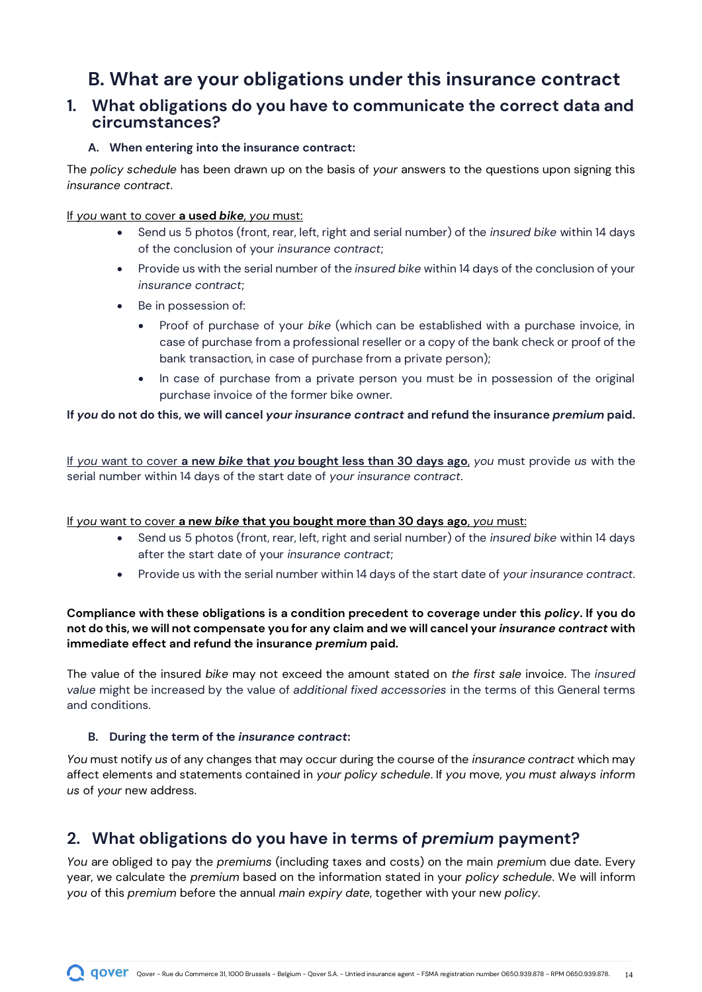# <span id="page-13-0"></span>**B. What are your obligations under this insurance contract**

# <span id="page-13-1"></span>**1. What obligations do you have to communicate the correct data and circumstances?**

### **A. When entering into the insurance contract:**

The *policy schedule* has been drawn up on the basis of *your* answers to the questions upon signing this *insurance contract*.

### If *you* want to cover **a used** *bike*, *you* must:

- Send us 5 photos (front, rear, left, right and serial number) of the *insured bike* within 14 days of the conclusion of your *insurance contract*;
- Provide us with the serial number of the *insured bike* within 14 days of the conclusion of your *insurance contract*;
- Be in possession of:
	- Proof of purchase of your *bike* (which can be established with a purchase invoice, in case of purchase from a professional reseller or a copy of the bank check or proof of the bank transaction, in case of purchase from a private person);
	- In case of purchase from a private person you must be in possession of the original purchase invoice of the former bike owner.

### **If** *you* **do not do this, we will cancel** *your insurance contract* **and refund the insurance** *premium* **paid.**

If *you* want to cover **a new** *bike* **that** *you* **bought less than 30 days ago**, *you* must provide *us* with the serial number within 14 days of the start date of *your insurance contract*.

If *you* want to cover **a new** *bike* **that you bought more than 30 days ago**, *you* must:

- Send us 5 photos (front, rear, left, right and serial number) of the *insured bike* within 14 days after the start date of your *insurance contract*;
- Provide us with the serial number within 14 days of the start date of *your insurance contract*.

### **Compliance with these obligations is a condition precedent to coverage under this** *policy***. If you do not do this, we will not compensate you for any claim and we will cancel your** *insurance contract* **with immediate effect and refund the insurance** *premium* **paid.**

The value of the insured *bike* may not exceed the amount stated on *the first sale* invoice. The *insured value* might be increased by the value of *additional fixed accessories* in the terms of this General terms and conditions.

### **B. During the term of the** *insurance contract***:**

*You* must notify *us* of any changes that may occur during the course of the *insurance contract* which may affect elements and statements contained in *your policy schedule*. If *you* move, *you must always inform us* of *your* new address.

# <span id="page-13-2"></span>**2. What obligations do you have in terms of** *premium* **payment?**

*You* are obliged to pay the *premiums* (including taxes and costs) on the main *premiu*m due date. Every year, we calculate the *premium* based on the information stated in your *policy schedule*. We will inform *you* of this *premium* before the annual *main expiry date*, together with your new *policy*.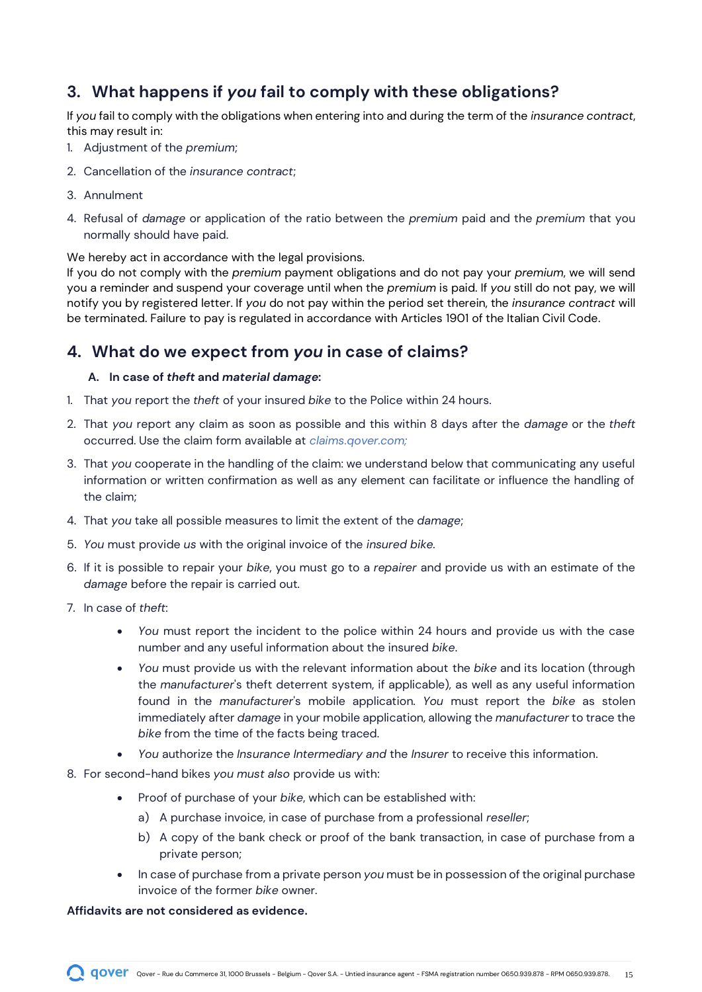# <span id="page-14-0"></span>**3. What happens if** *you* **fail to comply with these obligations?**

If *you* fail to comply with the obligations when entering into and during the term of the *insurance contract*, this may result in:

- 1. Adjustment of the *premium*;
- 2. Cancellation of the *insurance contract*;
- 3. Annulment
- 4. Refusal of *damage* or application of the ratio between the *premium* paid and the *premium* that you normally should have paid.

We hereby act in accordance with the legal provisions.

If you do not comply with the *premium* payment obligations and do not pay your *premium*, we will send you a reminder and suspend your coverage until when the *premium* is paid. If *you* still do not pay, we will notify you by registered letter. If *you* do not pay within the period set therein, the *insurance contract* will be terminated. Failure to pay is regulated in accordance with Articles 1901 of the Italian Civil Code.

# <span id="page-14-1"></span>**4. What do we expect from** *you* **in case of claims?**

### **A. In case of** *theft* **and** *material damage***:**

- 1. That *you* report the *theft* of your insured *bike* to the Police within 24 hours.
- 2. That *you* report any claim as soon as possible and this within 8 days after the *damage* or the *theft* occurred. Use the claim form available at *[claims.qover.com;](https://www.qover.com/claims)*
- 3. That *you* cooperate in the handling of the claim: we understand below that communicating any useful information or written confirmation as well as any element can facilitate or influence the handling of the claim;
- 4. That *you* take all possible measures to limit the extent of the *damage*;
- 5. *You* must provide *us* with the original invoice of the *insured bike.*
- 6. If it is possible to repair your *bike*, you must go to a *repairer* and provide us with an estimate of the *damage* before the repair is carried out.
- 7. In case of *theft*:
	- *You* must report the incident to the police within 24 hours and provide us with the case number and any useful information about the insured *bike*.
	- *You* must provide us with the relevant information about the *bike* and its location (through the *manufacturer*'s theft deterrent system, if applicable), as well as any useful information found in the *manufacturer*'s mobile application. *You* must report the *bike* as stolen immediately after *damage* in your mobile application, allowing the *manufacturer* to trace the *bike* from the time of the facts being traced.
	- *You* authorize the *Insurance Intermediary and* the *Insurer* to receive this information.
- 8. For second-hand bikes *you must also* provide us with:
	- Proof of purchase of your *bike*, which can be established with:
		- a) A purchase invoice, in case of purchase from a professional *reseller*;
		- b) A copy of the bank check or proof of the bank transaction, in case of purchase from a private person;
	- In case of purchase from a private person *you* must be in possession of the original purchase invoice of the former *bike* owner.

### **Affidavits are not considered as evidence.**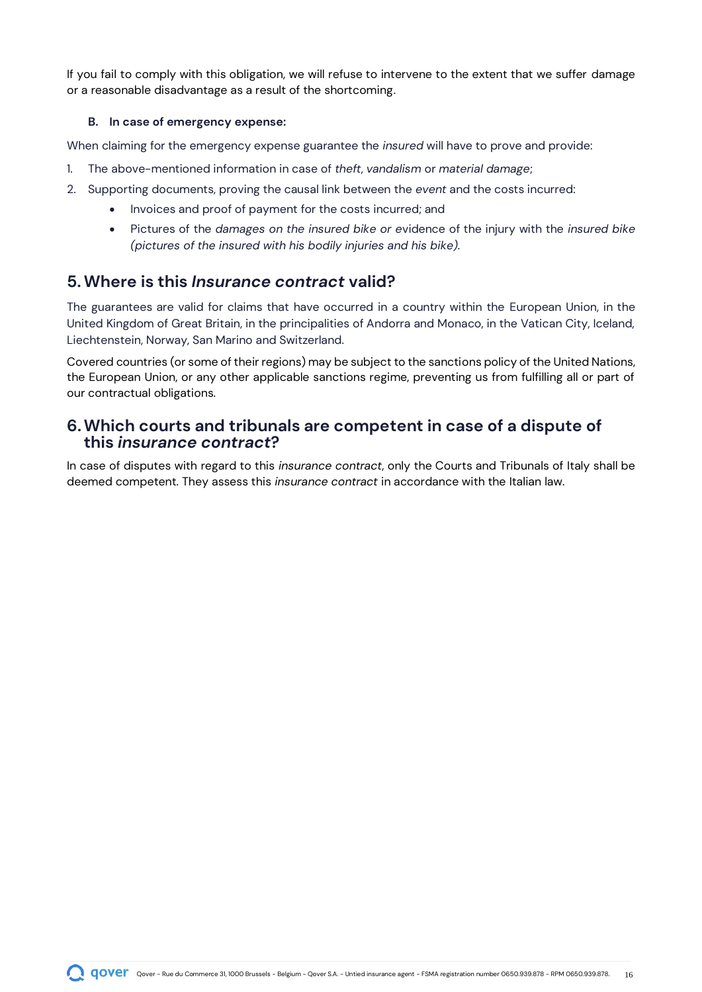If you fail to comply with this obligation, we will refuse to intervene to the extent that we suffer damage or a reasonable disadvantage as a result of the shortcoming.

### **B. In case of emergency expense:**

When claiming for the emergency expense guarantee the *insured* will have to prove and provide:

- 1. The above-mentioned information in case of *theft*, *vandalism* or *material damage*;
- 2. Supporting documents, proving the causal link between the *event* and the costs incurred:
	- Invoices and proof of payment for the costs incurred; and
	- Pictures of the *damages on the insured bike or e*vidence of the injury with the *insured bike (pictures of the insured with his bodily injuries and his bike).*

# <span id="page-15-0"></span>**5.Where is this** *Insurance contract* **valid?**

The guarantees are valid for claims that have occurred in a country within the European Union, in the United Kingdom of Great Britain, in the principalities of Andorra and Monaco, in the Vatican City, Iceland, Liechtenstein, Norway, San Marino and Switzerland.

Covered countries (or some of their regions) may be subject to the sanctions policy of the United Nations, the European Union, or any other applicable sanctions regime, preventing us from fulfilling all or part of our contractual obligations.

# <span id="page-15-1"></span>**6.Which courts and tribunals are competent in case of a dispute of this** *insurance contract***?**

In case of disputes with regard to this *insurance contract*, only the Courts and Tribunals of Italy shall be deemed competent. They assess this *insurance contract* in accordance with the Italian law.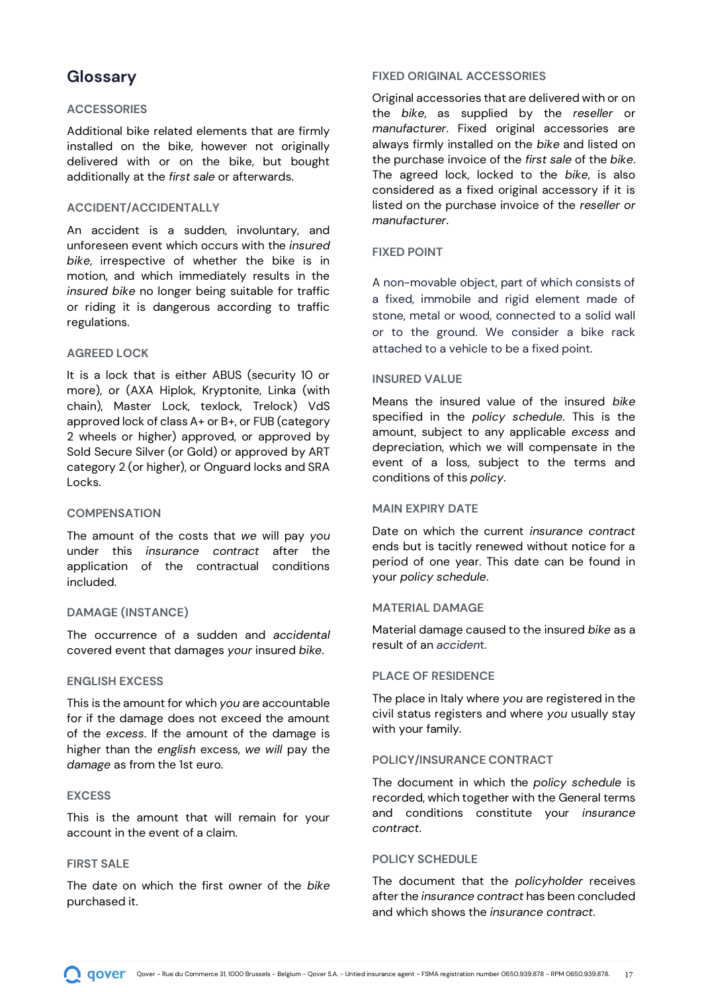# <span id="page-16-0"></span>**Glossary**

#### **ACCESSORIES**

Additional bike related elements that are firmly installed on the bike, however not originally delivered with or on the bike, but bought additionally at the *first sale* or afterwards.

#### **ACCIDENT/ACCIDENTALLY**

An accident is a sudden, involuntary, and unforeseen event which occurs with the *insured bike*, irrespective of whether the bike is in motion, and which immediately results in the *insured bike* no longer being suitable for traffic or riding it is dangerous according to traffic regulations.

#### **AGREED LOCK**

It is a lock that is either ABUS (security 10 or more), or (AXA Hiplok, Kryptonite, Linka (with chain), Master Lock, texlock, Trelock) VdS approved lock of class A+ or B+, or FUB (category 2 wheels or higher) approved, or approved by Sold Secure Silver (or Gold) or approved by ART category 2 (or higher), or Onguard locks and SRA Locks.

#### **COMPENSATION**

The amount of the costs that *we* will pay *you* under this *insurance contract* after the application of the contractual conditions included.

### **DAMAGE (INSTANCE)**

The occurrence of a sudden and *accidental*  covered event that damages *your* insured *bike*.

#### **ENGLISH EXCESS**

This is the amount for which *you* are accountable for if the damage does not exceed the amount of the *excess*. If the amount of the damage is higher than the *english* excess, *we will* pay the *damage* as from the 1st euro.

### **EXCESS**

This is the amount that will remain for your account in the event of a claim.

### **FIRST SALE**

The date on which the first owner of the *bike* purchased it.

#### **FIXED ORIGINAL ACCESSORIES**

Original accessories that are delivered with or on the *bike*, as supplied by the *reseller* or *manufacturer*. Fixed original accessories are always firmly installed on the *bike* and listed on the purchase invoice of the *first sale* of the *bike*. The agreed lock, locked to the *bike*, is also considered as a fixed original accessory if it is listed on the purchase invoice of the *reseller or manufacturer*.

#### **FIXED POINT**

A non-movable object, part of which consists of a fixed, immobile and rigid element made of stone, metal or wood, connected to a solid wall or to the ground. We consider a bike rack attached to a vehicle to be a fixed point.

### **INSURED VALUE**

Means the insured value of the insured *bike* specified in the *policy schedule*. This is the amount, subject to any applicable *excess* and depreciation, which we will compensate in the event of a loss, subject to the terms and conditions of this *policy*.

#### **MAIN EXPIRY DATE**

Date on which the current *insurance contract* ends but is tacitly renewed without notice for a period of one year. This date can be found in your *policy schedule*.

#### **MATERIAL DAMAGE**

Material damage caused to the insured *bike* as a result of an *acciden*t.

#### **PLACE OF RESIDENCE**

The place in Italy where *you* are registered in the civil status registers and where *you* usually stay with your family.

### **POLICY/INSURANCE CONTRACT**

The document in which the *policy schedule* is recorded, which together with the General terms and conditions constitute your *insurance contract*.

#### **POLICY SCHEDULE**

The document that the *policyholder* receives after the *insurance contract* has been concluded and which shows the *insurance contract*.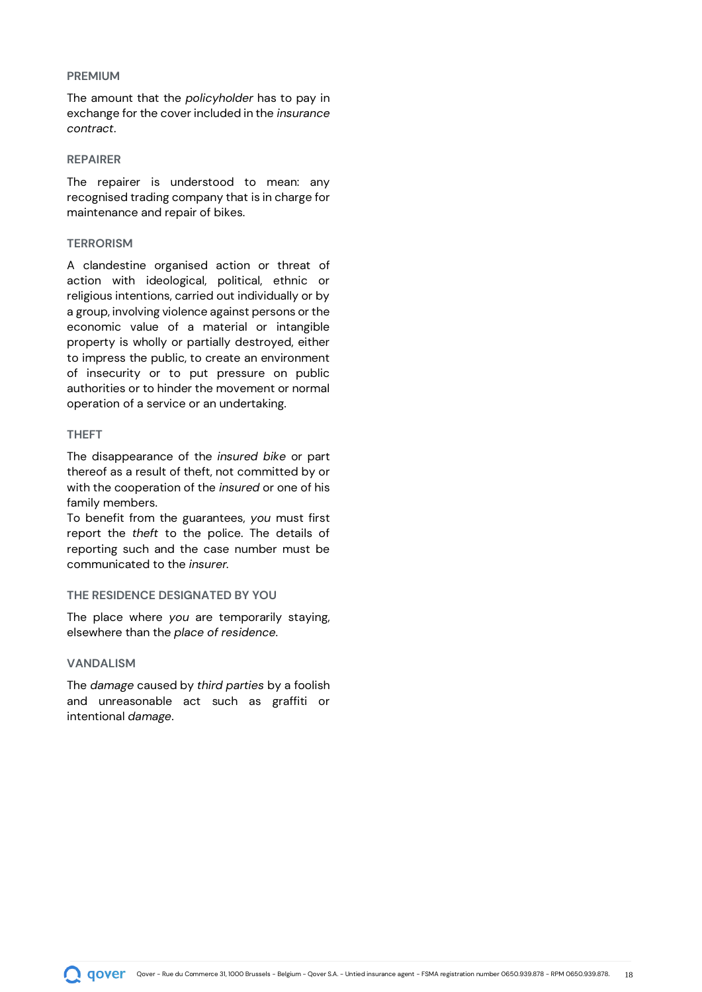#### **PREMIUM**

The amount that the *policyholder* has to pay in exchange for the cover included in the *insurance contract*.

#### **REPAIRER**

The repairer is understood to mean: any recognised trading company that is in charge for maintenance and repair of bikes.

#### **TERRORISM**

A clandestine organised action or threat of action with ideological, political, ethnic or religious intentions, carried out individually or by a group, involving violence against persons or the economic value of a material or intangible property is wholly or partially destroyed, either to impress the public, to create an environment of insecurity or to put pressure on public authorities or to hinder the movement or normal operation of a service or an undertaking.

#### **THEFT**

The disappearance of the *insured bike* or part thereof as a result of theft, not committed by or with the cooperation of the *insured* or one of his family members.

To benefit from the guarantees, *you* must first report the *theft* to the police. The details of reporting such and the case number must be communicated to the *insurer.*

#### **THE RESIDENCE DESIGNATED BY YOU**

The place where *you* are temporarily staying, elsewhere than the *place of residence*.

#### **VANDALISM**

The *damage* caused by *third parties* by a foolish and unreasonable act such as graffiti or intentional *damage*.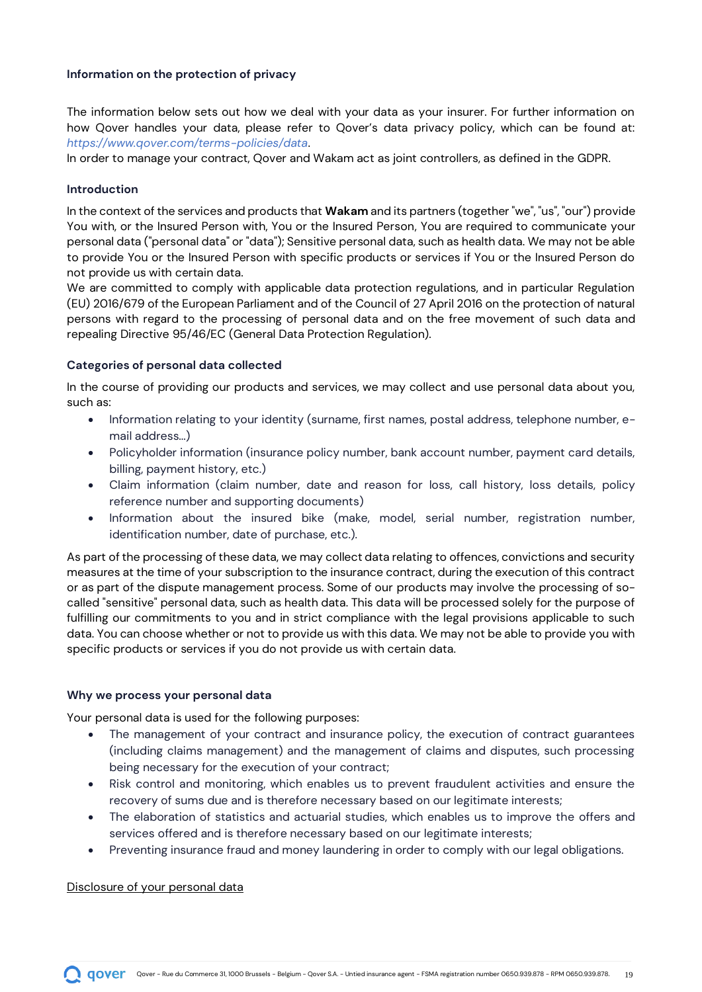### <span id="page-18-0"></span>**Information on the protection of privacy**

The information below sets out how we deal with your data as your insurer. For further information on how Qover handles your data, please refer to Qover's data privacy policy, which can be found at: *<https://www.qover.com/terms-policies/data>*.

In order to manage your contract, Qover and Wakam act as joint controllers, as defined in the GDPR.

### **Introduction**

In the context of the services and products that **Wakam** and its partners (together "we", "us", "our") provide You with, or the Insured Person with, You or the Insured Person, You are required to communicate your personal data ("personal data" or "data"); Sensitive personal data, such as health data. We may not be able to provide You or the Insured Person with specific products or services if You or the Insured Person do not provide us with certain data.

We are committed to comply with applicable data protection regulations, and in particular Regulation (EU) 2016/679 of the European Parliament and of the Council of 27 April 2016 on the protection of natural persons with regard to the processing of personal data and on the free movement of such data and repealing Directive 95/46/EC (General Data Protection Regulation).

### **Categories of personal data collected**

In the course of providing our products and services, we may collect and use personal data about you, such as:

- Information relating to your identity (surname, first names, postal address, telephone number, email address...)
- Policyholder information (insurance policy number, bank account number, payment card details, billing, payment history, etc.)
- Claim information (claim number, date and reason for loss, call history, loss details, policy reference number and supporting documents)
- Information about the insured bike (make, model, serial number, registration number, identification number, date of purchase, etc.).

As part of the processing of these data, we may collect data relating to offences, convictions and security measures at the time of your subscription to the insurance contract, during the execution of this contract or as part of the dispute management process. Some of our products may involve the processing of socalled "sensitive" personal data, such as health data. This data will be processed solely for the purpose of fulfilling our commitments to you and in strict compliance with the legal provisions applicable to such data. You can choose whether or not to provide us with this data. We may not be able to provide you with specific products or services if you do not provide us with certain data.

#### **Why we process your personal data**

Your personal data is used for the following purposes:

- The management of your contract and insurance policy, the execution of contract guarantees (including claims management) and the management of claims and disputes, such processing being necessary for the execution of your contract;
- Risk control and monitoring, which enables us to prevent fraudulent activities and ensure the recovery of sums due and is therefore necessary based on our legitimate interests;
- The elaboration of statistics and actuarial studies, which enables us to improve the offers and services offered and is therefore necessary based on our legitimate interests;
- Preventing insurance fraud and money laundering in order to comply with our legal obligations.

### Disclosure of your personal data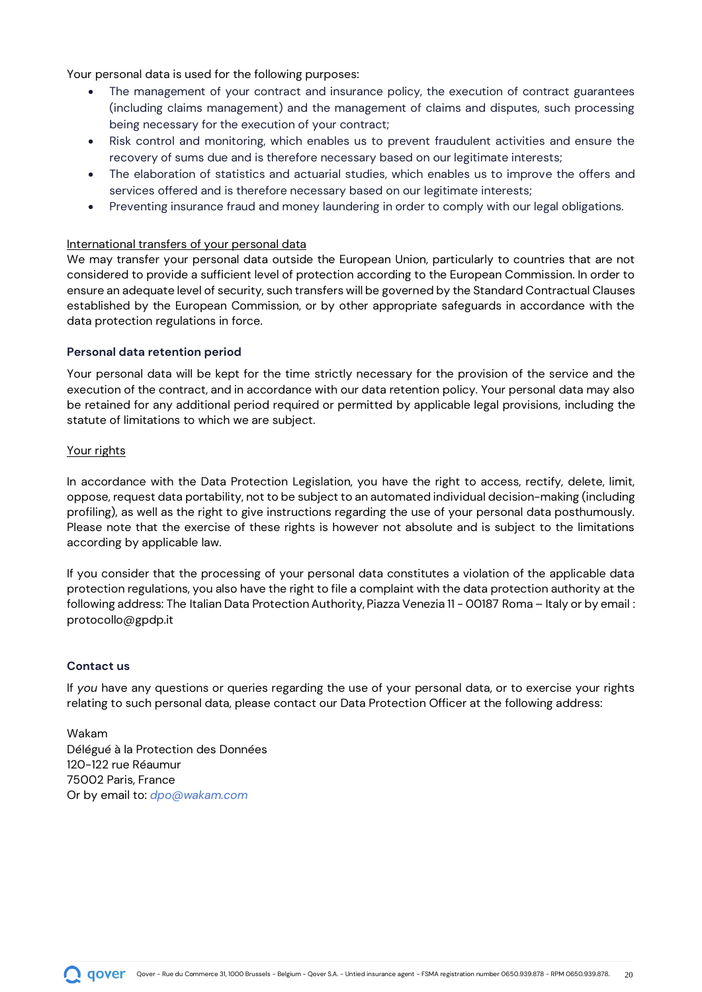Your personal data is used for the following purposes:

- The management of your contract and insurance policy, the execution of contract guarantees (including claims management) and the management of claims and disputes, such processing being necessary for the execution of your contract;
- Risk control and monitoring, which enables us to prevent fraudulent activities and ensure the recovery of sums due and is therefore necessary based on our legitimate interests;
- The elaboration of statistics and actuarial studies, which enables us to improve the offers and services offered and is therefore necessary based on our legitimate interests;
- Preventing insurance fraud and money laundering in order to comply with our legal obligations.

#### International transfers of your personal data

We may transfer your personal data outside the European Union, particularly to countries that are not considered to provide a sufficient level of protection according to the European Commission. In order to ensure an adequate level of security, such transfers will be governed by the Standard Contractual Clauses established by the European Commission, or by other appropriate safeguards in accordance with the data protection regulations in force.

#### **Personal data retention period**

Your personal data will be kept for the time strictly necessary for the provision of the service and the execution of the contract, and in accordance with our data retention policy. Your personal data may also be retained for any additional period required or permitted by applicable legal provisions, including the statute of limitations to which we are subject.

#### Your rights

In accordance with the Data Protection Legislation, you have the right to access, rectify, delete, limit, oppose, request data portability, not to be subject to an automated individual decision-making (including profiling), as well as the right to give instructions regarding the use of your personal data posthumously. Please note that the exercise of these rights is however not absolute and is subject to the limitations according by applicable law.

If you consider that the processing of your personal data constitutes a violation of the applicable data protection regulations, you also have the right to file a complaint with the data protection authority at the following address: The Italian Data Protection Authority, Piazza Venezia 11 - 00187 Roma – Italy or by email : protocollo@gpdp.it

#### **Contact us**

If *you* have any questions or queries regarding the use of your personal data, or to exercise your rights relating to such personal data, please contact our Data Protection Officer at the following address:

Wakam Délégué à la Protection des Données 120-122 rue Réaumur 75002 Paris, France Or by email to: *[dpo@wakam.com](mailto:dpo@wakam.com)*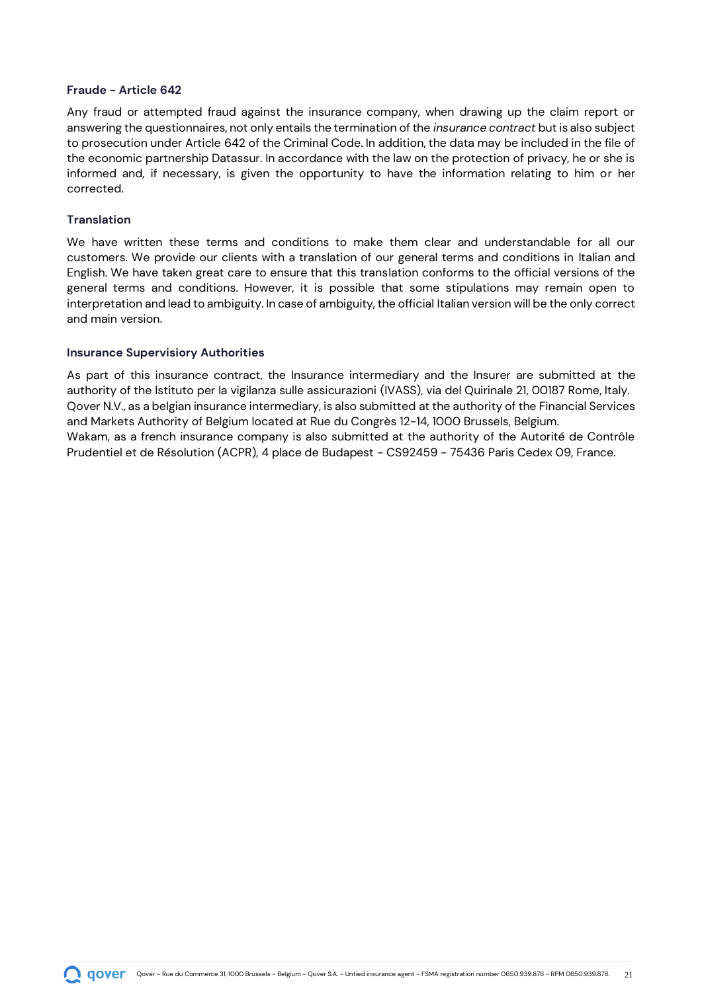#### <span id="page-20-0"></span>**Fraude - Article 642**

Any fraud or attempted fraud against the insurance company, when drawing up the claim report or answering the questionnaires, not only entails the termination of the *insurance contract* but is also subject to prosecution under Article 642 of the Criminal Code. In addition, the data may be included in the file of the economic partnership Datassur. In accordance with the law on the protection of privacy, he or she is informed and, if necessary, is given the opportunity to have the information relating to him or her corrected.

#### <span id="page-20-1"></span>**Translation**

We have written these terms and conditions to make them clear and understandable for all our customers. We provide our clients with a translation of our general terms and conditions in Italian and English. We have taken great care to ensure that this translation conforms to the official versions of the general terms and conditions. However, it is possible that some stipulations may remain open to interpretation and lead to ambiguity. In case of ambiguity, the official Italian version will be the only correct and main version.

#### **Insurance Supervisiory Authorities**

As part of this insurance contract, the Insurance intermediary and the Insurer are submitted at the authority of the [Istituto per la vigilanza sulle assicurazioni \(](https://www.ivass.it/)IVASS), via del Quirinale 21, 00187 Rome, Italy. Qover N.V., as a belgian insurance intermediary, is also submitted at the authority of the Financial Services and Markets Authority of Belgium located at Rue du Congrès 12-14, 1000 Brussels, Belgium. Wakam, as a french insurance company is also submitted at the authority of the Autorité de Contrôle Prudentiel et de Résolution (ACPR), 4 place de Budapest - CS92459 - 75436 Paris Cedex 09, France.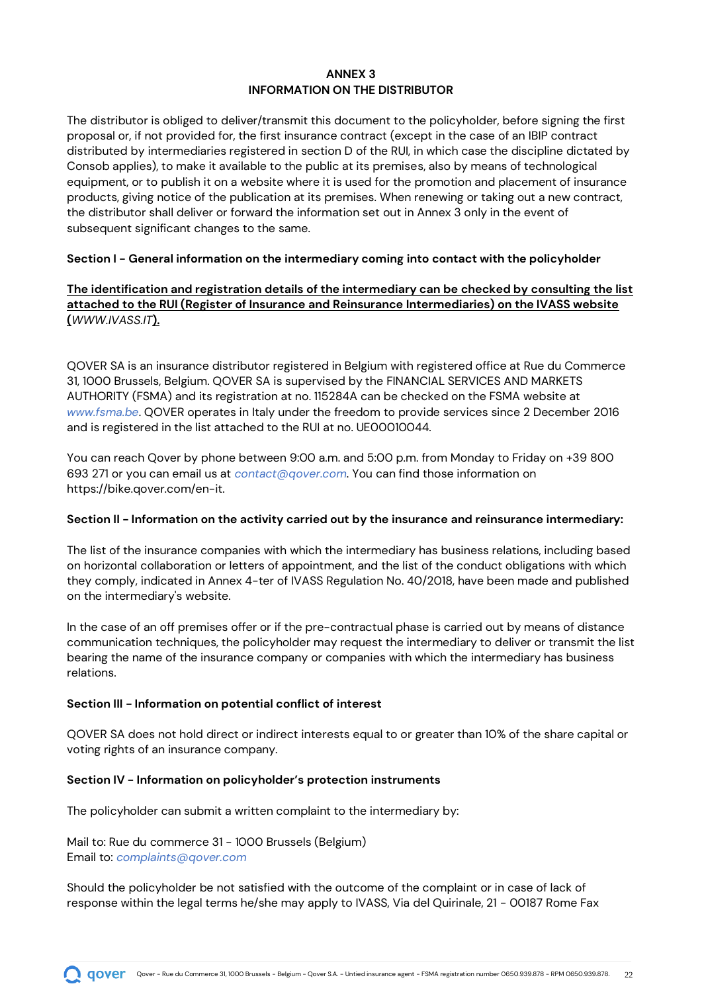#### **ANNEX 3 INFORMATION ON THE DISTRIBUTOR**

The distributor is obliged to deliver/transmit this document to the policyholder, before signing the first proposal or, if not provided for, the first insurance contract (except in the case of an IBIP contract distributed by intermediaries registered in section D of the RUI, in which case the discipline dictated by Consob applies), to make it available to the public at its premises, also by means of technological equipment, or to publish it on a website where it is used for the promotion and placement of insurance products, giving notice of the publication at its premises. When renewing or taking out a new contract, the distributor shall deliver or forward the information set out in Annex 3 only in the event of subsequent significant changes to the same.

### **Section I - General information on the intermediary coming into contact with the policyholder**

**The identification and registration details of the intermediary can be checked by consulting the list attached to the RUI (Register of Insurance and Reinsurance Intermediaries) on the IVASS website (***[WWW.IVASS.IT](http://www.ivass.it/)***).**

QOVER SA is an insurance distributor registered in Belgium with registered office at Rue du Commerce 31, 1000 Brussels, Belgium. QOVER SA is supervised by the FINANCIAL SERVICES AND MARKETS AUTHORITY (FSMA) and its registration at no. 115284A can be checked on the FSMA website at *[www.fsma.be](http://www.fsma.be/)*. QOVER operates in Italy under the freedom to provide services since 2 December 2016 and is registered in the list attached to the RUI at no. UE00010044.

You can reach Qover by phone between 9:00 a.m. and 5:00 p.m. from Monday to Friday on +39 800 693 271 or you can email us at *[contact@qover.com](mailto:contact@qoverme.com)*. You can find those information on https://bike.qover.com/en-it.

### **Section II - Information on the activity carried out by the insurance and reinsurance intermediary:**

The list of the insurance companies with which the intermediary has business relations, including based on horizontal collaboration or letters of appointment, and the list of the conduct obligations with which they comply, indicated in Annex 4-ter of IVASS Regulation No. 40/2018, have been made and published on the intermediary's website.

In the case of an off premises offer or if the pre-contractual phase is carried out by means of distance communication techniques, the policyholder may request the intermediary to deliver or transmit the list bearing the name of the insurance company or companies with which the intermediary has business relations.

### **Section III - Information on potential conflict of interest**

QOVER SA does not hold direct or indirect interests equal to or greater than 10% of the share capital or voting rights of an insurance company.

#### **Section IV - Information on policyholder's protection instruments**

The policyholder can submit a written complaint to the intermediary by:

Mail to: Rue du commerce 31 - 1000 Brussels (Belgium) Email to: *[complaints@qover.com](mailto:complaints@qover.com)*

Should the policyholder be not satisfied with the outcome of the complaint or in case of lack of response within the legal terms he/she may apply to IVASS, Via del Quirinale, 21 - 00187 Rome Fax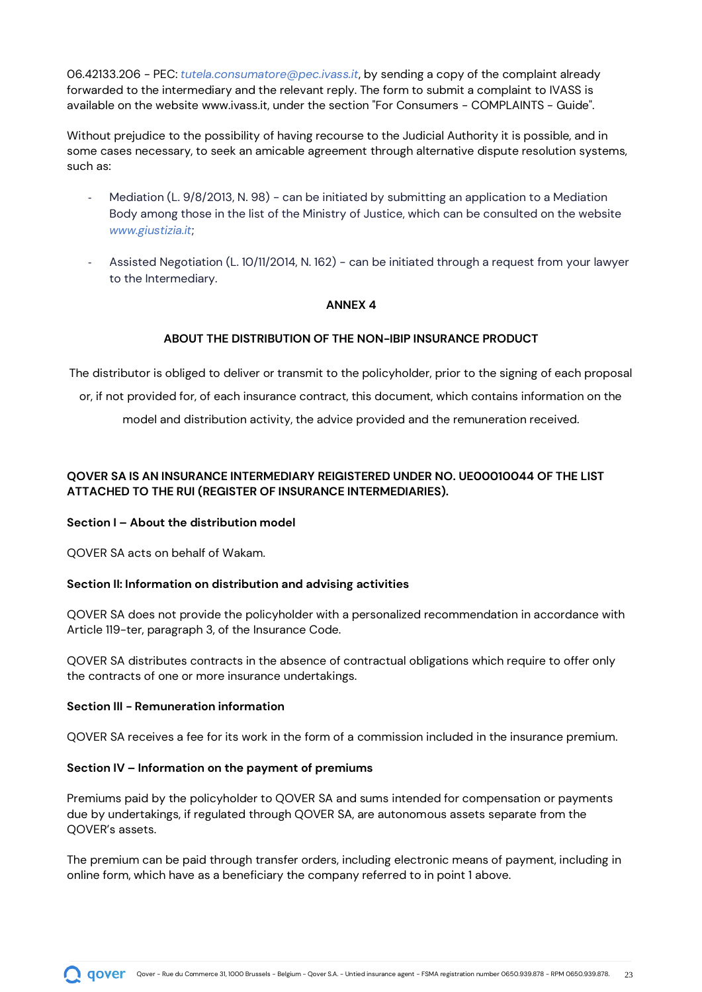06.42133.206 - PEC: *[tutela.consumatore@pec.ivass.it](mailto:tutela.consumatore@pec.ivass.it)*, by sending a copy of the complaint already forwarded to the intermediary and the relevant reply. The form to submit a complaint to IVASS is available on the website www.ivass.it, under the section "For Consumers - COMPLAINTS - Guide".

Without prejudice to the possibility of having recourse to the Judicial Authority it is possible, and in some cases necessary, to seek an amicable agreement through alternative dispute resolution systems, such as:

- Mediation (L. 9/8/2013, N. 98) can be initiated by submitting an application to a Mediation Body among those in the list of the Ministry of Justice, which can be consulted on the website *[www.giustizia.it](http://www.giustizia.it/)*;
- Assisted Negotiation (L. 10/11/2014, N. 162) can be initiated through a request from your lawyer to the Intermediary.

### **ANNEX 4**

### **ABOUT THE DISTRIBUTION OF THE NON-IBIP INSURANCE PRODUCT**

The distributor is obliged to deliver or transmit to the policyholder, prior to the signing of each proposal

or, if not provided for, of each insurance contract, this document, which contains information on the

model and distribution activity, the advice provided and the remuneration received.

### **QOVER SA IS AN INSURANCE INTERMEDIARY REIGISTERED UNDER NO. UE00010044 OF THE LIST ATTACHED TO THE RUI (REGISTER OF INSURANCE INTERMEDIARIES).**

### **Section I – About the distribution model**

QOVER SA acts on behalf of Wakam.

### **Section II: Information on distribution and advising activities**

QOVER SA does not provide the policyholder with a personalized recommendation in accordance with Article 119-ter, paragraph 3, of the Insurance Code.

QOVER SA distributes contracts in the absence of contractual obligations which require to offer only the contracts of one or more insurance undertakings.

### **Section III - Remuneration information**

QOVER SA receives a fee for its work in the form of a commission included in the insurance premium.

### **Section IV – Information on the payment of premiums**

Premiums paid by the policyholder to QOVER SA and sums intended for compensation or payments due by undertakings, if regulated through QOVER SA, are autonomous assets separate from the QOVER's assets.

The premium can be paid through transfer orders, including electronic means of payment, including in online form, which have as a beneficiary the company referred to in point 1 above.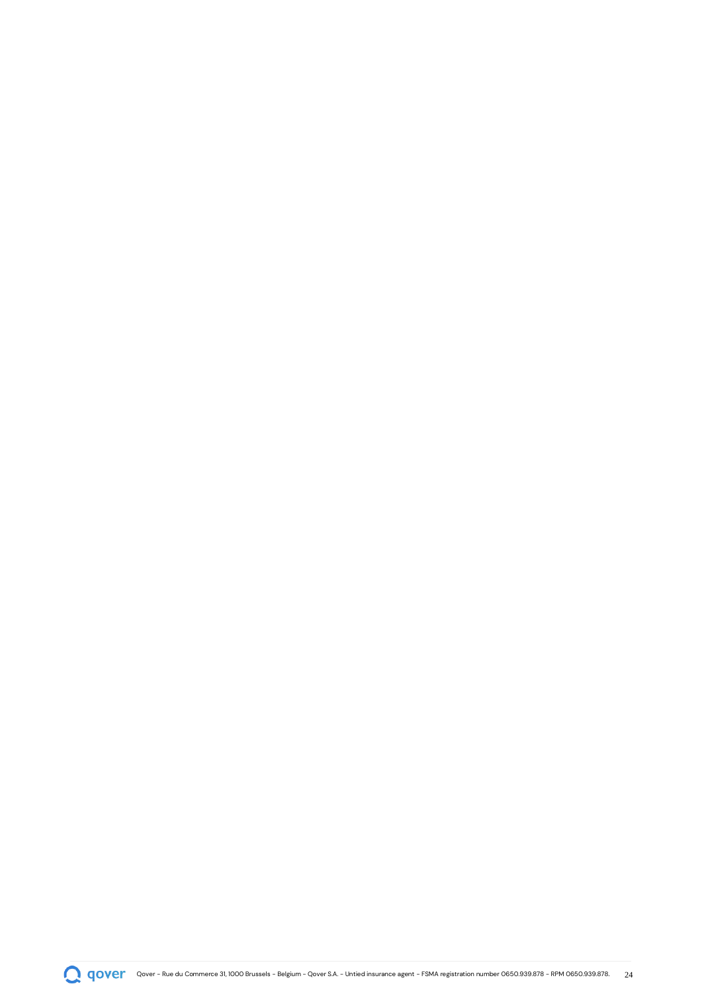